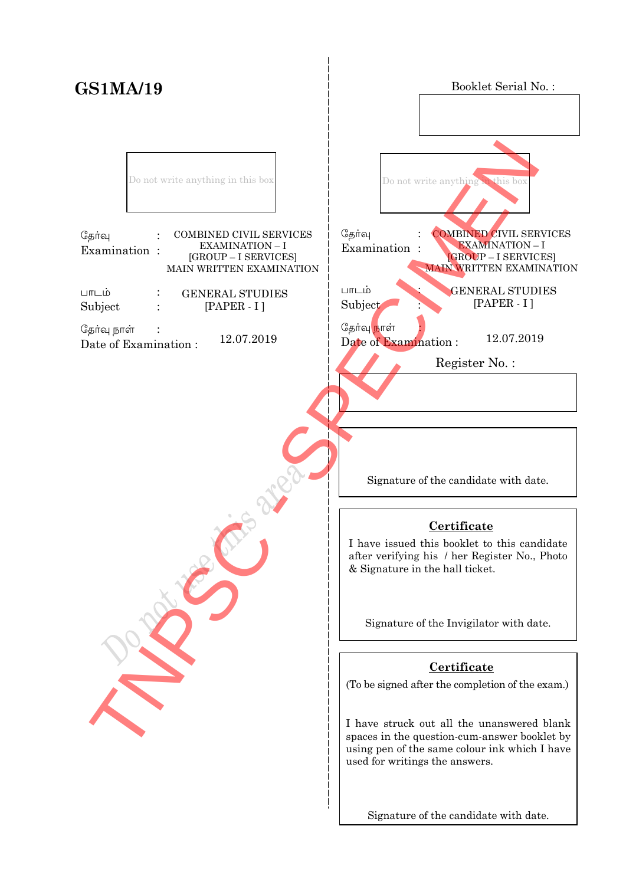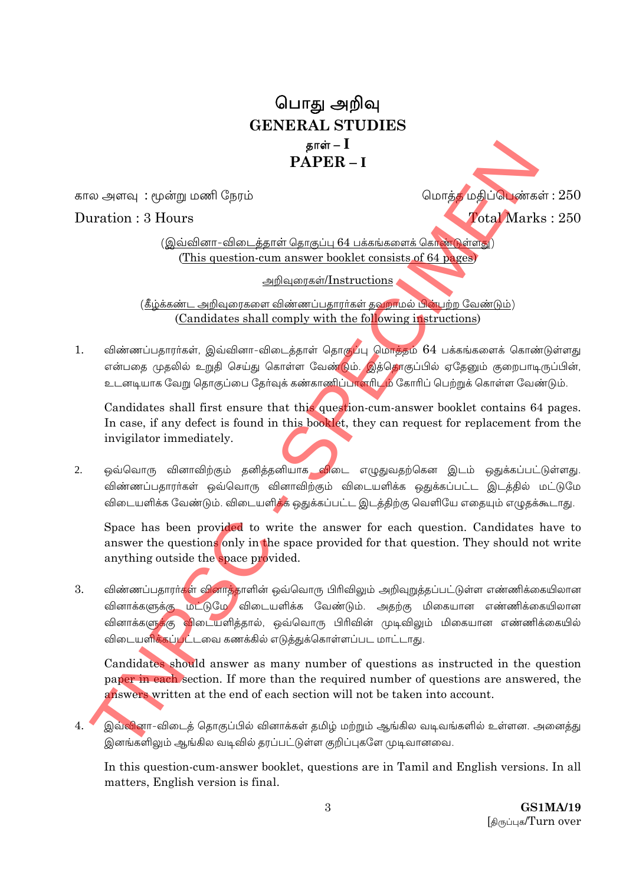# பொது அறிவு **GENERAL STUDIES** தாள் —  $\mathbf I$  $PAPER - I$

கால அளவு: மூன்று மணி நேரம்

Duration: 3 Hours

மொத்த மதிப்பெண்கள் : 250

Total Marks: 250

(இவ்வினா-விடைத்தாள் தொகுப்பு 64 பக்கங்களைக் கொண்டுள்ளது) (This question-cum answer booklet consists of 64 pages)

அறிவுரைகள்/Instructions

(கீம்க்கண்ட அறிவரைகளை விண்ணப்பகாரர்கள் கவறாமல் பின்பற்ற வேண்டும்) (Candidates shall comply with the following instructions)

விண்ணப்பதாரர்கள், இவ்வினா-விடைத்தாள் தொகுப்பு மொத்தம் 64 பக்கங்களைக் கொண்டுள்ளது  $1<sub>1</sub>$ என்பதை முதலில் உறுதி செய்து கொள்ள வேண்டும். இத்தொகுப்பில் ஏதேனும் குறைபாடிருப்பின், உடனடியாக வேறு தொகுப்பை தேர்வுக் கண்காணிப்பாளரிடம் கோரிப் பெற்றுக் கொள்ள வேண்டும்.

Candidates shall first ensure that this question-cum-answer booklet contains 64 pages. In case, if any defect is found in this booklet, they can request for replacement from the invigilator immediately.

ஒவ்வொரு வினாவிற்கும் தனித்தனியாக விடை எழுதுவதற்கென இடம் ஒதுக்கப்பட்டுள்ளது.  $\overline{2}$ . விண்ணப்பதாரா்கள் ஒவ்வொரு வினாவிற்கும் விடையளிக்க ஒதுக்கப்பட்ட இடத்தில் மட்டுமே விடையளிக்க வேண்டும். விடையளி<mark>க்</mark>க ஒதுக்கப்பட்ட இடத்திற்கு வெளியே எதையும் எழுதக்கூடாது.

Space has been provided to write the answer for each question. Candidates have to answer the questions only in the space provided for that question. They should not write anything outside the space provided.

3. விண்ணப்பதாரா்<mark>க</mark>ள் வினாத்தாளின் ஒவ்வொரு பிரிவிலும் அறிவுறுத்தப்பட்டுள்ள எண்ணிக்கையிலான வினாக்களுக்கு மட்டுமே விடையளிக்க வேண்டும். அதற்கு மிகையான எண்ணிக்கையிலான வினாக்களுக்கு <mark>விடையளி</mark>த்தால், ஒவ்வொரு பிரிவின் முடிவிலும் மிகையான எண்ணிக்கையில் விடையளிக்கப்பட்டவை கணக்கில் எடுக்குக்கொள்ளப்பட மாட்டாது.

Candidates should answer as many number of questions as instructed in the question paper in each section. If more than the required number of questions are answered, the answers written at the end of each section will not be taken into account.

 $4<sup>4</sup>$ இவ்வினா-விடைத் தொகுப்பில் வினாக்கள் தமிழ் மற்றும் ஆங்கில வடிவங்களில் உள்ளன. அனைத்து இனங்களிலும் ஆங்கில வடிவில் தரப்பட்டுள்ள குறிப்புகளே முடிவானவை.

In this question-cum-answer booklet, questions are in Tamil and English versions. In all matters, English version is final.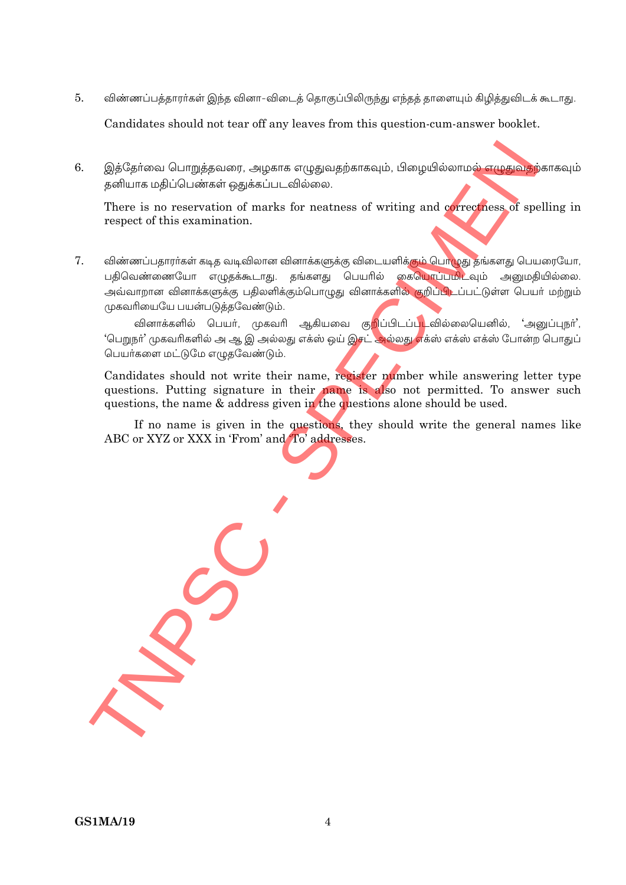$5<sub>1</sub>$ விண்ணப்பத்தாரர்கள் இந்த வினா-விடைத் தொகுப்பிலிருந்து எந்தத் தாளையும் கிழித்துவிடக் கூடாது.

Candidates should not tear off any leaves from this question-cum-answer booklet.

6. இத்தேர்வை பொறுத்தவரை, அழகாக எழுதுவதற்காகவும், பிழையில்லாம<mark>ல் எழுதுவதற்</mark>காகவும் தனியாக மதிப்பெண்கள் ஒதுக்கப்படவில்லை.

There is no reservation of marks for neatness of writing and correctness of spelling in respect of this examination.

7. விண்ணப்பதாரா்கள் கடித வடிவிலான வினாக்களுக்கு விடையளிக்<mark>கும் பொழுது தங்களது பெயரையோ,</mark> பதிவெண்ணையோ எழுதக்கூடாது. தங்களது பெயரில் கையொப்பமிடவும் அனுமதியில்லை. அவ்வாறான வினாக்களுக்கு பதிலளிக்கும்பொழுது வினாக்களில<mark>் குறிப்ப</mark>ிடப்பட்டுள்ள பெயர் மற்றும் முகவரியையே பயன்படுத்தவேண்டும்.

வினாக்களில் பெயர், முகவரி ஆகியவை கு<mark>றிப்பிடப்ப</mark>டவில்லையெனில், 'அனுப்புநர்', 'பெறுநா்' முகவரிகளில் அ ஆ இ அல்லது எக்ஸ் ஒய் இசட் அல்லது <mark>எ</mark>க்ஸ் எக்ஸ் எக்ஸ் போன்ற பொதுப் பெயர்களை மட்டுமே எழுதவேண்டும்.

Candidates should not write their name, register number while answering letter type questions. Putting signature in their name is also not permitted. To answer such questions, the name & address given in the questions alone should be used.

If no name is given in the questions, they should write the general names like ABC or XYZ or XXX in 'From' and 'To' addresses.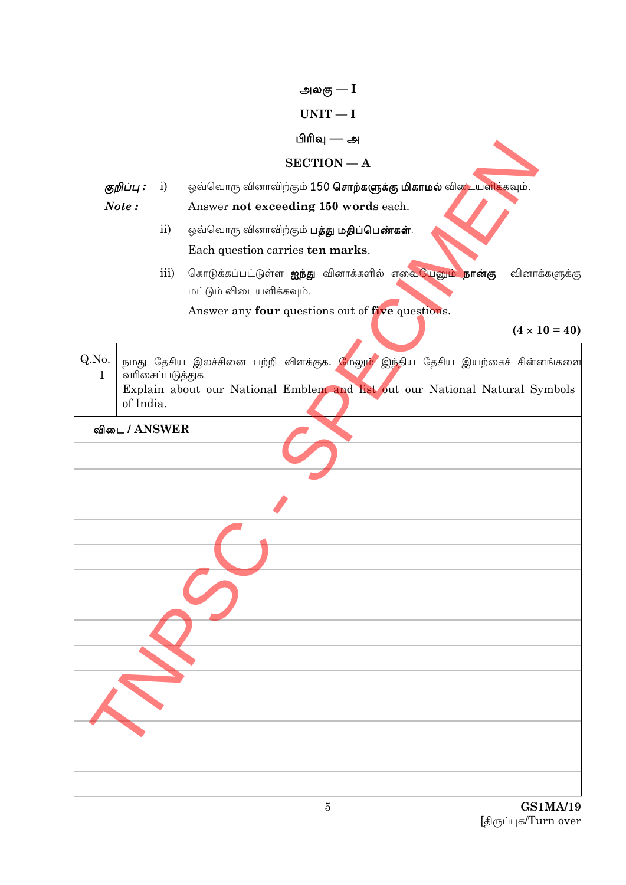$UNIT-I$ பிரிவு — அ  $SECTION - A$ குறிப்பு : ஒவ்வொரு வினாவிற்கும் 150 சொ**ற்களுக்கு மிகாமல்** வி**டையளிக்க**வும்.  $i)$  $Note:$ Answer not exceeding 150 words each.  $\overline{ii}$ ஒவ்வொரு வினாவிற்கும் **பத்து மதிப்பெண்கள்**. Each question carries ten marks.  $\overline{iii}$ கொடுக்கப்பட்டுள்ள **ஐந்து** வினாக்களில் எவையேனும் **நான்கு** வினாக்களுக்கு மட்டும் விடையளிக்கவும். Answer any four questions out of five questions.  $(4 \times 10 = 40)$ Q.No. நமது தேசிய இலச்சினை பற்றி விளக்குக. மேலும் இந்திய தேசிய இயற்கைச் சின்னங்களை  $\mathbf{1}$ வரிசைப்படுத்துக. Explain about our National Emblem and list out our National Natural Symbols of India. விடை / ANSWER

அலகு —  $I$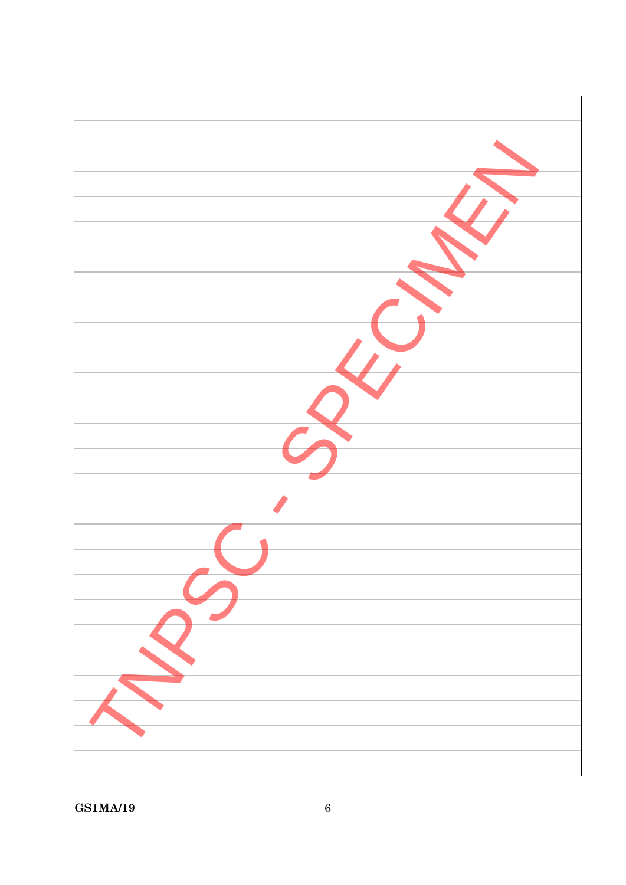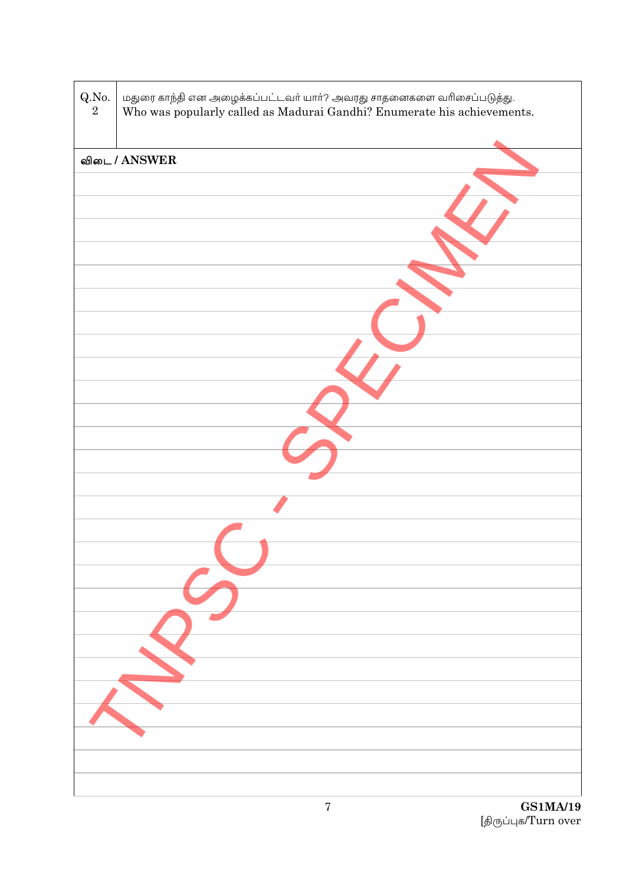| Q.No.<br>$\sqrt{2}$ | மதுரை காந்தி என அழைக்கப்பட்டவா் யாா்? அவரது சாதனைகளை வாிசைப்படுத்து.    |
|---------------------|-------------------------------------------------------------------------|
|                     | Who was popularly called as Madurai Gandhi? Enumerate his achievements. |
|                     | விடை / ANSWER                                                           |
|                     |                                                                         |
|                     |                                                                         |
|                     |                                                                         |
|                     |                                                                         |
|                     |                                                                         |
|                     |                                                                         |
|                     |                                                                         |
|                     |                                                                         |
|                     |                                                                         |
|                     |                                                                         |
|                     |                                                                         |
|                     |                                                                         |
|                     |                                                                         |
|                     |                                                                         |
|                     |                                                                         |
|                     |                                                                         |
|                     |                                                                         |
|                     |                                                                         |
|                     |                                                                         |
|                     |                                                                         |
|                     |                                                                         |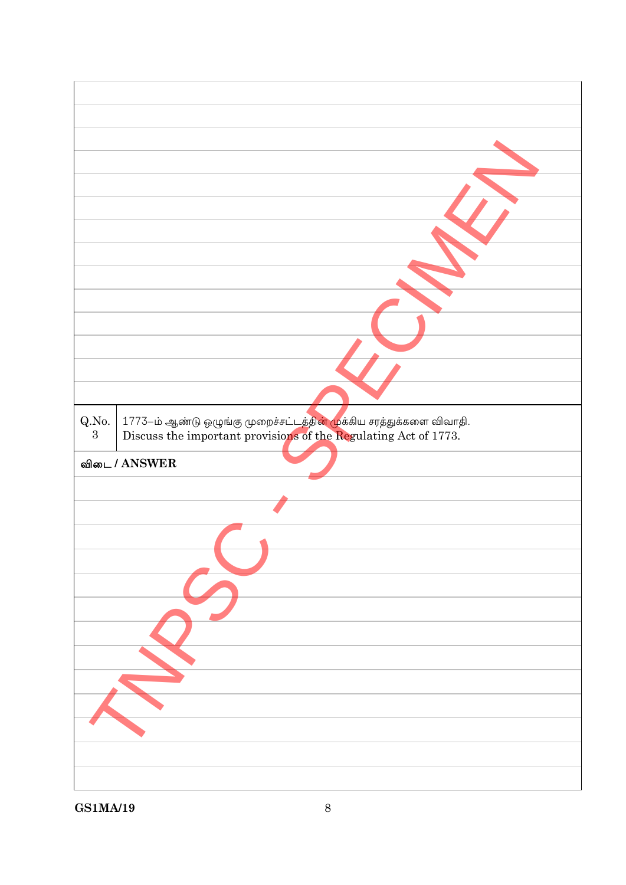| Q.No.<br>1773–ம் ஆண்டு ஒழுங்கு முறைச்சட்டத்தின் முக்கிய சரத்துக்களை விவாதி.<br>Discuss the important provisions of the Regulating Act of 1773.<br>$\boldsymbol{3}$ |
|--------------------------------------------------------------------------------------------------------------------------------------------------------------------|
|                                                                                                                                                                    |
| விடை / ANSWER                                                                                                                                                      |
|                                                                                                                                                                    |
|                                                                                                                                                                    |
|                                                                                                                                                                    |
|                                                                                                                                                                    |
|                                                                                                                                                                    |
|                                                                                                                                                                    |
|                                                                                                                                                                    |
|                                                                                                                                                                    |
|                                                                                                                                                                    |
|                                                                                                                                                                    |
|                                                                                                                                                                    |
|                                                                                                                                                                    |
|                                                                                                                                                                    |
|                                                                                                                                                                    |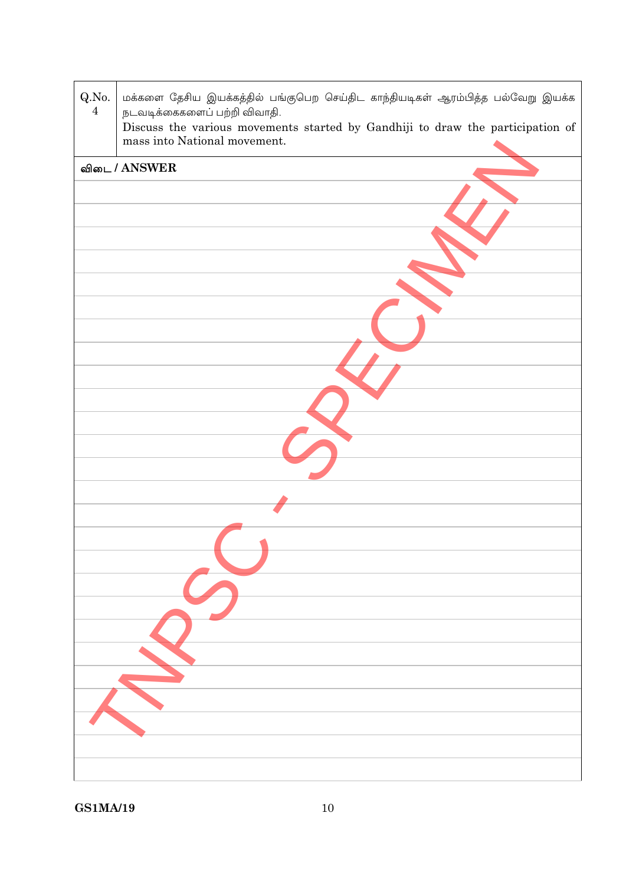| Q.No.<br>$\overline{4}$ | மக்களை தேசிய இயக்கத்தில் பங்குபெற செய்திட காந்தியடிகள் ஆரம்பித்த பல்வேறு இயக்க<br>நடவடிக்கைகளைப் பற்றி விவாதி. |
|-------------------------|----------------------------------------------------------------------------------------------------------------|
|                         | Discuss the various movements started by Gandhiji to draw the participation of<br>mass into National movement. |
|                         | விடை / ANSWER                                                                                                  |
|                         |                                                                                                                |
|                         |                                                                                                                |
|                         |                                                                                                                |
|                         |                                                                                                                |
|                         |                                                                                                                |
|                         |                                                                                                                |
|                         |                                                                                                                |
|                         |                                                                                                                |
|                         |                                                                                                                |
|                         |                                                                                                                |
|                         |                                                                                                                |
|                         |                                                                                                                |
|                         |                                                                                                                |
|                         |                                                                                                                |
|                         |                                                                                                                |
|                         |                                                                                                                |
|                         |                                                                                                                |
|                         |                                                                                                                |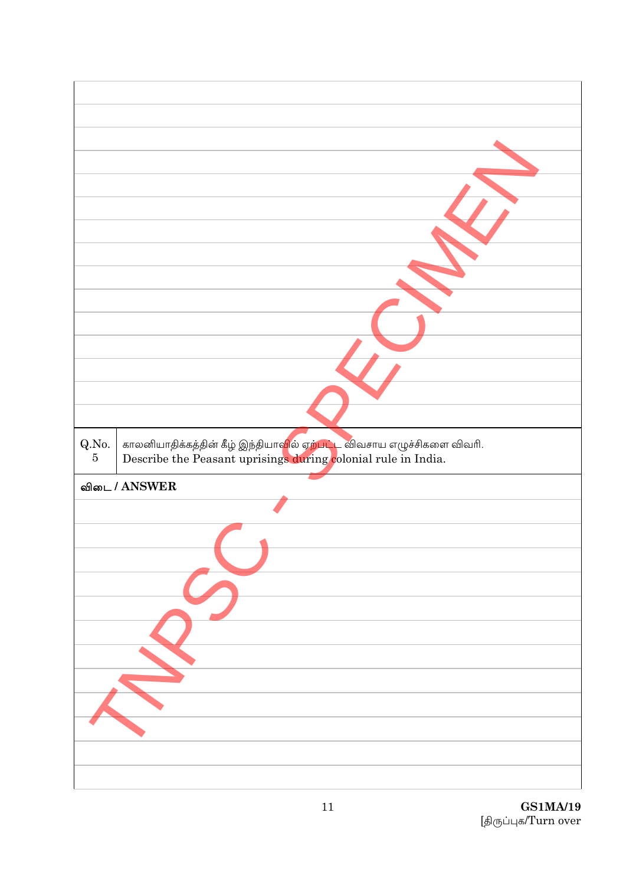| Q.No.<br>$\bf 5$ | காலனியாதிக்கத்தின் கீழ் இந்தியா <mark>வ</mark> ில் ஏற்பட்ட விவசாய எழுச்சிகளை விவரி.<br>Describe the Peasant uprisings during colonial rule in India. |
|------------------|------------------------------------------------------------------------------------------------------------------------------------------------------|
|                  | விடை / ANSWER                                                                                                                                        |
|                  |                                                                                                                                                      |
|                  |                                                                                                                                                      |
|                  |                                                                                                                                                      |
|                  |                                                                                                                                                      |
|                  |                                                                                                                                                      |
|                  |                                                                                                                                                      |
|                  |                                                                                                                                                      |
|                  |                                                                                                                                                      |
|                  |                                                                                                                                                      |
|                  |                                                                                                                                                      |
|                  |                                                                                                                                                      |
|                  |                                                                                                                                                      |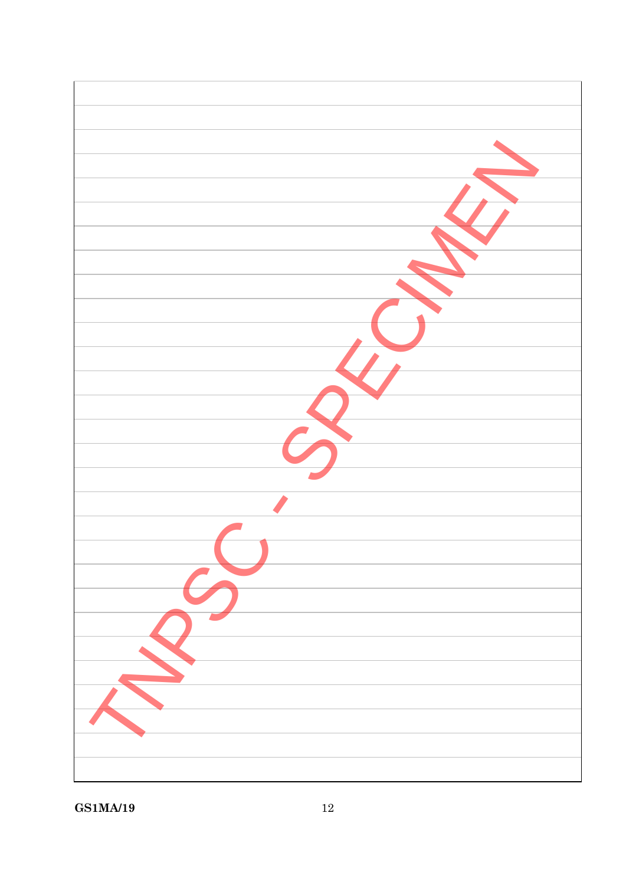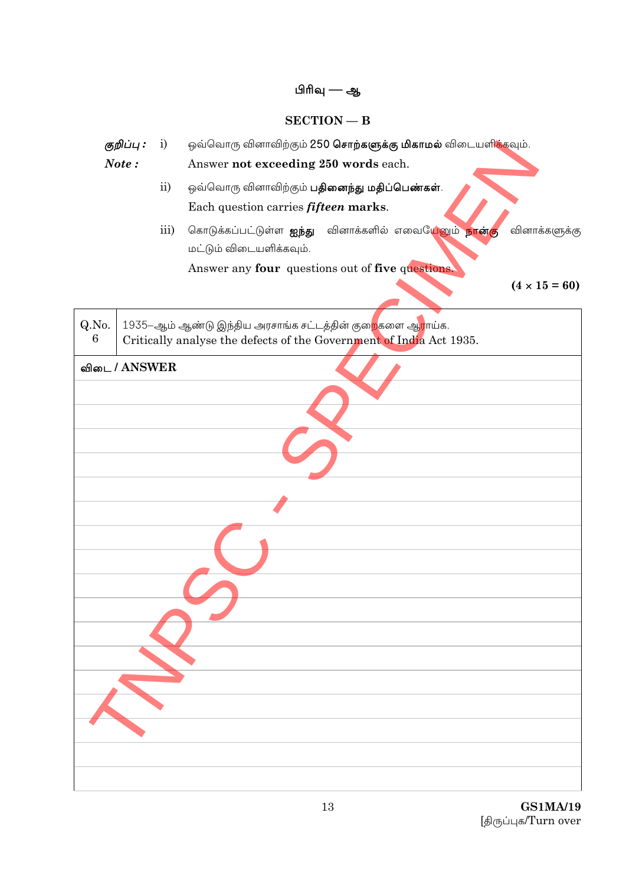#### பிரிவு — ஆ

#### $SECTION - B$

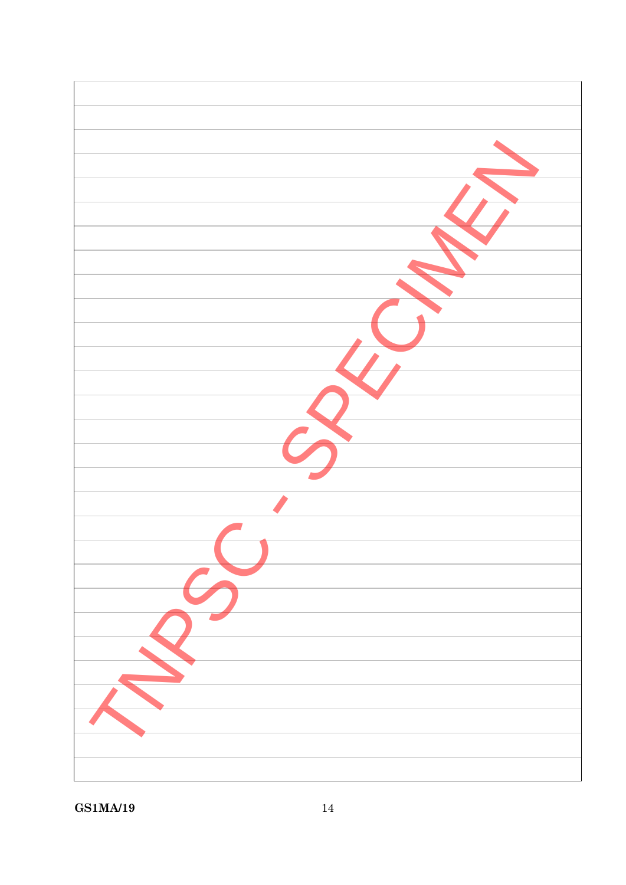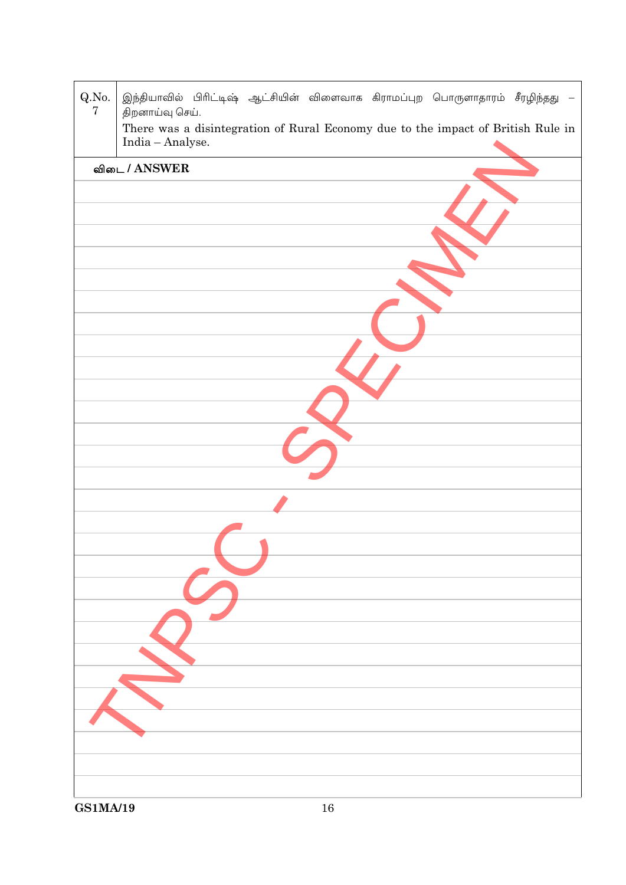| Q.No.<br>$\overline{7}$ | இந்தியாவில் பிரிட்டிஷ் ஆட்சியின் விளைவாக கிராமப்புற பொருளாதாரம் சீரழிந்தது —<br>திறனாய்வு செய். |
|-------------------------|-------------------------------------------------------------------------------------------------|
|                         | There was a disintegration of Rural Economy due to the impact of British Rule in                |
|                         | India - Analyse.<br>விடை / ANSWER                                                               |
|                         |                                                                                                 |
|                         |                                                                                                 |
|                         |                                                                                                 |
|                         |                                                                                                 |
|                         |                                                                                                 |
|                         |                                                                                                 |
|                         |                                                                                                 |
|                         |                                                                                                 |
|                         |                                                                                                 |
|                         |                                                                                                 |
|                         |                                                                                                 |
|                         |                                                                                                 |
|                         |                                                                                                 |
|                         |                                                                                                 |
|                         |                                                                                                 |
|                         |                                                                                                 |
|                         |                                                                                                 |
|                         |                                                                                                 |
|                         |                                                                                                 |
|                         |                                                                                                 |
|                         |                                                                                                 |
|                         |                                                                                                 |
|                         |                                                                                                 |
|                         |                                                                                                 |
| <b>GS1MA/19</b>         | $16\,$                                                                                          |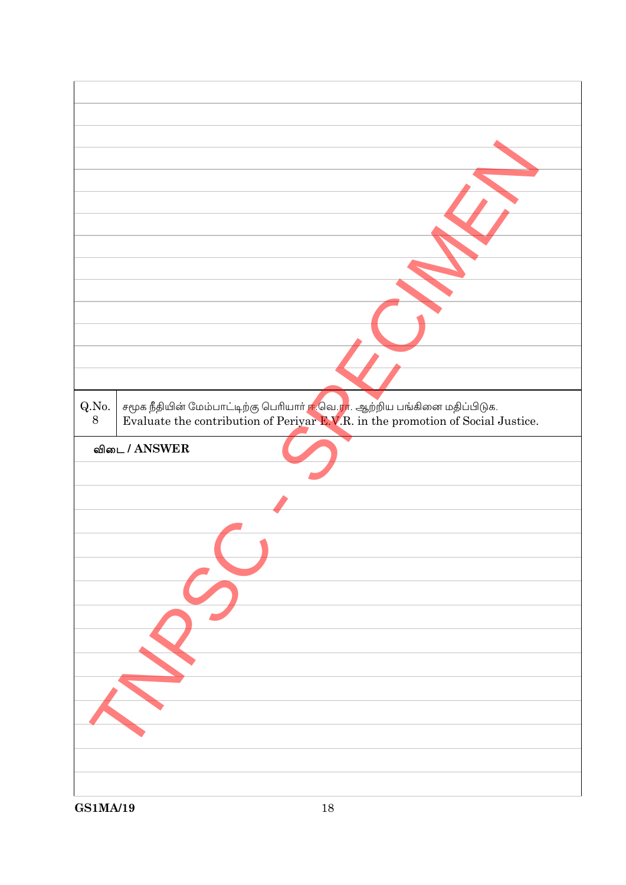| Q.No.<br>$8\,$ | சமூக நீதியின் மேம்பாட்டிற்கு பெரியார் <mark>ஈ.வெ.ரா</mark> . ஆற்றிய பங்கினை மதிப்பிடுக.<br>Evaluate the contribution of Periyar E.V.R. in the promotion of Social Justice. |
|----------------|----------------------------------------------------------------------------------------------------------------------------------------------------------------------------|
|                | விடை / ANSWER                                                                                                                                                              |
|                |                                                                                                                                                                            |
|                |                                                                                                                                                                            |
|                |                                                                                                                                                                            |
|                |                                                                                                                                                                            |
|                |                                                                                                                                                                            |
|                |                                                                                                                                                                            |
|                |                                                                                                                                                                            |
|                |                                                                                                                                                                            |
|                |                                                                                                                                                                            |
|                |                                                                                                                                                                            |
|                |                                                                                                                                                                            |
|                |                                                                                                                                                                            |
|                |                                                                                                                                                                            |
|                |                                                                                                                                                                            |
|                |                                                                                                                                                                            |
|                |                                                                                                                                                                            |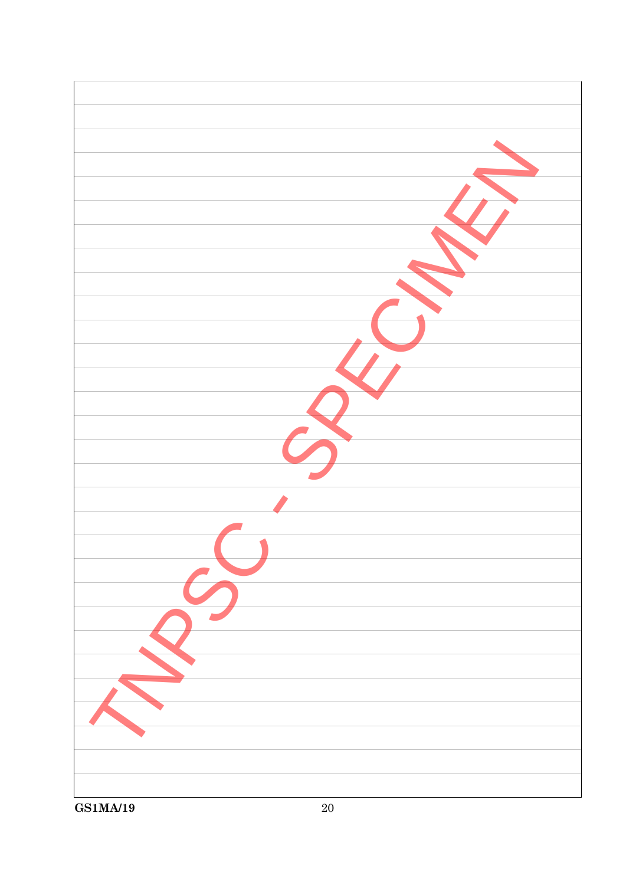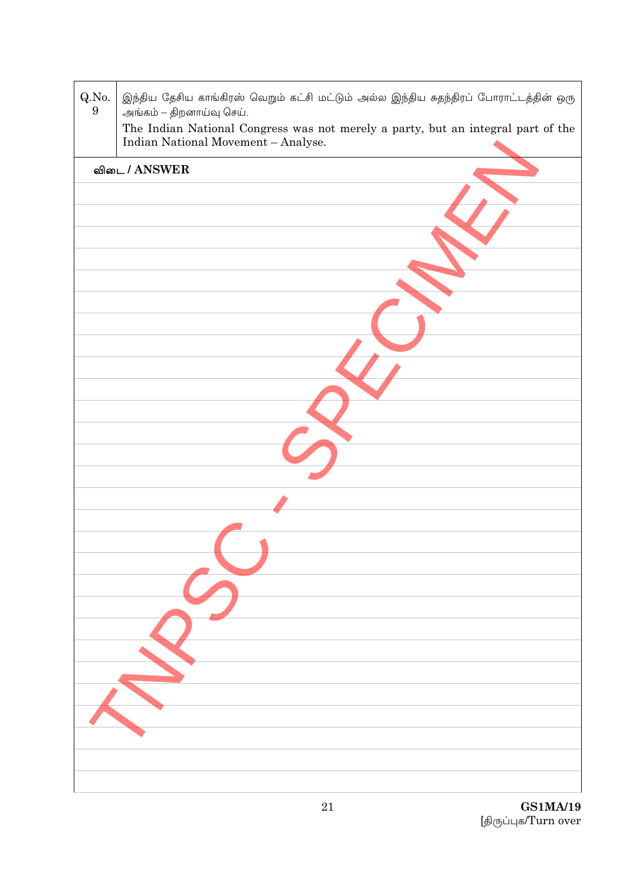| Q.No.<br>$\boldsymbol{9}$ | இந்திய தேசிய காங்கிரஸ் வெறும் கட்சி மட்டும் அல்ல இந்திய சுதந்திரப் போராட்டத்தின் ஒரு<br>அங்கம் – திறனாய்வு செய்.        |
|---------------------------|-------------------------------------------------------------------------------------------------------------------------|
|                           | The Indian National Congress was not merely a party, but an integral part of the<br>Indian National Movement - Analyse. |
|                           | விடை / ANSWER                                                                                                           |
|                           |                                                                                                                         |
|                           |                                                                                                                         |
|                           |                                                                                                                         |
|                           |                                                                                                                         |
|                           |                                                                                                                         |
|                           |                                                                                                                         |
|                           |                                                                                                                         |
|                           |                                                                                                                         |
|                           |                                                                                                                         |
|                           |                                                                                                                         |
|                           |                                                                                                                         |
|                           |                                                                                                                         |
|                           |                                                                                                                         |
|                           |                                                                                                                         |
|                           |                                                                                                                         |
|                           |                                                                                                                         |
|                           |                                                                                                                         |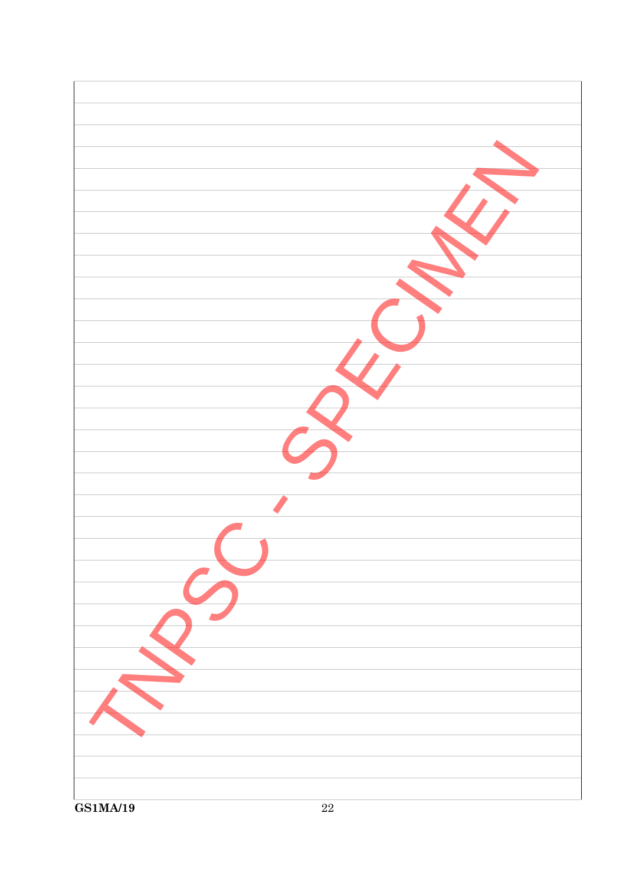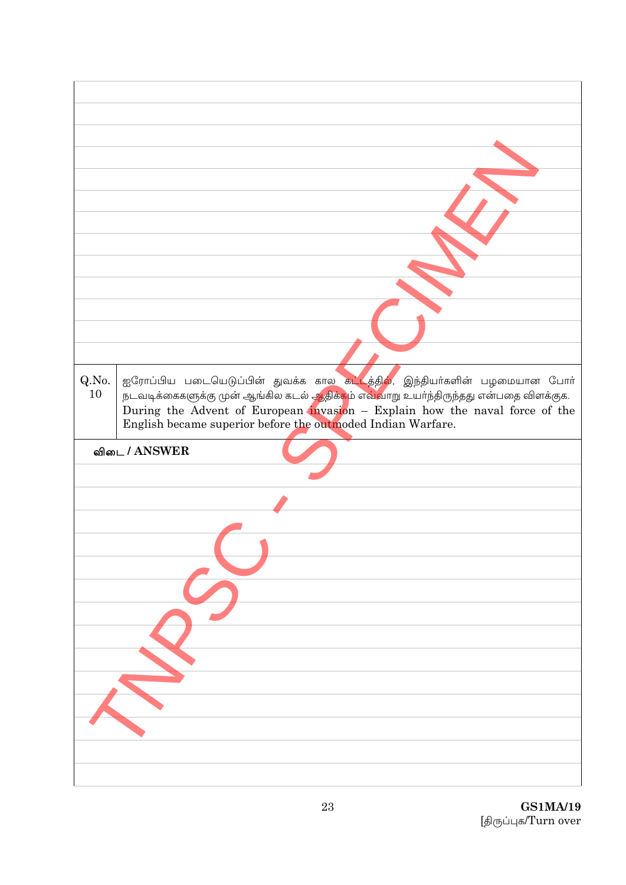| Q.No. | ஐரோப்பிய படையெடுப்பின் துவக்க கால கட் <mark>ட</mark> த்தில், இந்தியா்களின் பழமையான போா்                                                    |
|-------|--------------------------------------------------------------------------------------------------------------------------------------------|
| 10    | நடவடிக்கைகளுக்கு முன் ஆங்கில கடல் <mark>ஆதிக்க</mark> ம் எவ்வாறு உயா்ந்திருந்தது என்பதை விளக்குக.                                          |
|       | During the Advent of European invasion - Explain how the naval force of the<br>English became superior before the outmoded Indian Warfare. |
|       |                                                                                                                                            |
|       | விடை / ANSWER                                                                                                                              |
|       |                                                                                                                                            |
|       |                                                                                                                                            |
|       |                                                                                                                                            |
|       |                                                                                                                                            |
|       |                                                                                                                                            |
|       |                                                                                                                                            |
|       |                                                                                                                                            |
|       |                                                                                                                                            |
|       |                                                                                                                                            |
|       |                                                                                                                                            |
|       |                                                                                                                                            |
|       |                                                                                                                                            |
|       |                                                                                                                                            |
|       |                                                                                                                                            |
|       |                                                                                                                                            |
|       |                                                                                                                                            |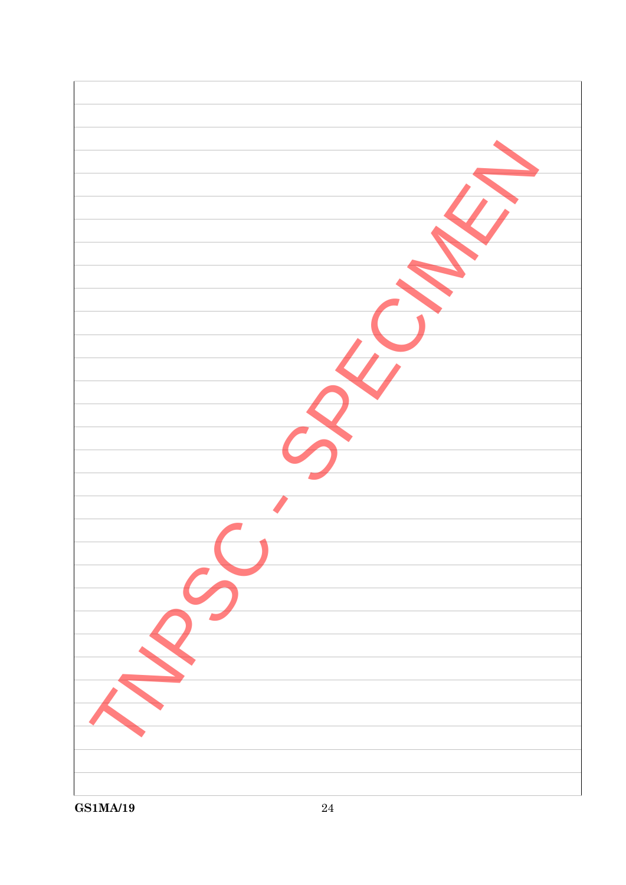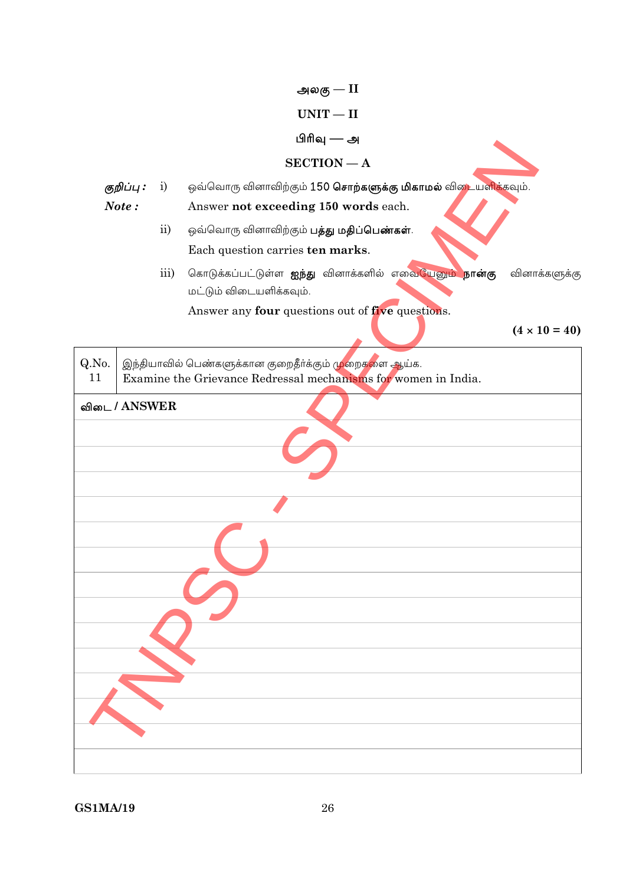அலகு —  $II$  $UNIT - II$ பிரிவு — அ  $SECTION - A$ குறிப்பு : ஒவ்வொரு வினாவிற்கும் 150 சொ**ற்களுக்கு மிகாமல்** வி**டையளிக்க**வும்.  $\mathbf{i}$ Note: Answer not exceeding 150 words each. ஒவ்வொரு வினாவிற்கும் **பத்து மதிப்பெண்கள்**.  $ii)$ Each question carries ten marks. iii) கொடுக்கப்பட்டுள்ள **ஐந்து** வினாக்களில் எவையேனும் **நான்கு** வினாக்களுக்கு மட்டும் விடையளிக்கவும். Answer any four questions out of five questions.  $(4 \times 10 = 40)$ Q.No. இந்தியாவில் பெண்களுக்கான குறைதீர்க்கும் முறைகளை ஆய்க. 11 Examine the Grievance Redressal mechanisms for women in India.

| விடை / ANSWER |
|---------------|
|               |
|               |
|               |
|               |
|               |
|               |
|               |
|               |
|               |
|               |
|               |
|               |
|               |
|               |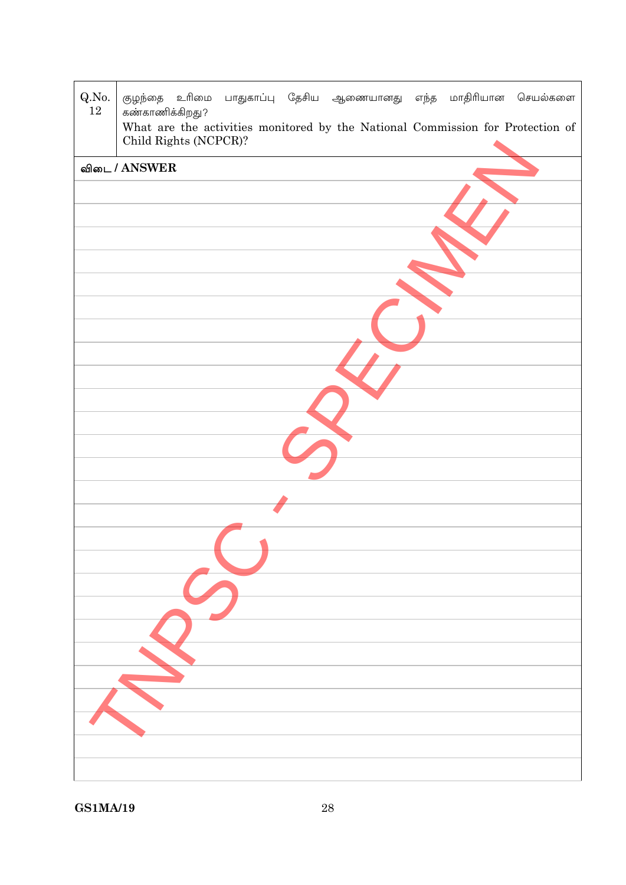| Q.No.<br>$12\,$ | குழந்தை உரிமை<br>பாதுகாப்பு தேசிய ஆணையானது எந்த மாதிரியான செயல்களை<br>கண்காணிக்கிறது?                   |
|-----------------|---------------------------------------------------------------------------------------------------------|
|                 | What are the activities monitored by the National Commission for Protection of<br>Child Rights (NCPCR)? |
|                 | விடை / ANSWER                                                                                           |
|                 |                                                                                                         |
|                 |                                                                                                         |
|                 |                                                                                                         |
|                 |                                                                                                         |
|                 |                                                                                                         |
|                 |                                                                                                         |
|                 |                                                                                                         |
|                 |                                                                                                         |
|                 |                                                                                                         |
|                 |                                                                                                         |
|                 |                                                                                                         |
|                 |                                                                                                         |
|                 |                                                                                                         |
|                 |                                                                                                         |
|                 |                                                                                                         |
|                 |                                                                                                         |
|                 |                                                                                                         |
|                 |                                                                                                         |
|                 |                                                                                                         |
|                 |                                                                                                         |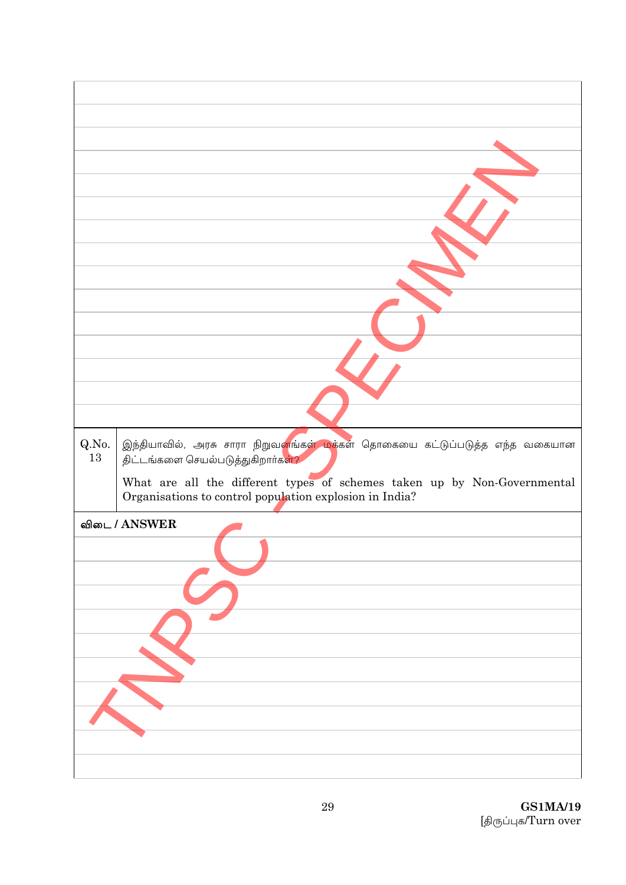| Q.No.<br>13 | இந்தியாவில், அரசு சாரா நிறுவ <mark>னங்கள் மக்கள்</mark> தொகையை கட்டுப்படுத்த எந்த வகையான<br>திட்டங்களை செயல்படுத்துகிறார்க <mark>ள்?</mark> |
|-------------|---------------------------------------------------------------------------------------------------------------------------------------------|
|             | What are all the different types of schemes taken up by Non-Governmental<br>Organisations to control population explosion in India?         |
|             | விடை / ANSWER                                                                                                                               |
|             |                                                                                                                                             |
|             |                                                                                                                                             |
|             |                                                                                                                                             |
|             |                                                                                                                                             |
|             |                                                                                                                                             |
|             |                                                                                                                                             |
|             |                                                                                                                                             |
|             |                                                                                                                                             |
|             |                                                                                                                                             |
|             |                                                                                                                                             |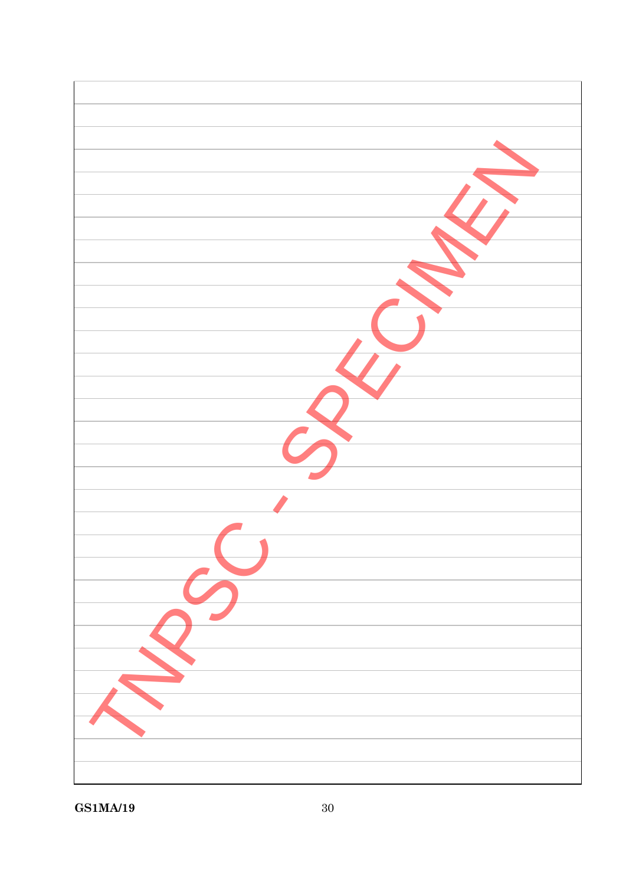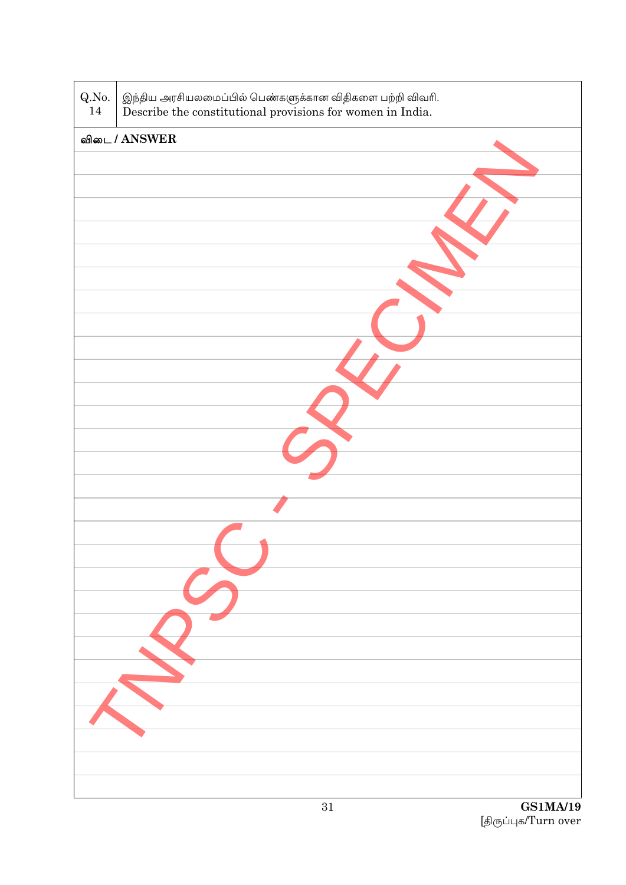| Q.No.<br>14 | இந்திய அரசியலமைப்பில் பெண்களுக்கான விதிகளை பற்றி விவரி.<br>Describe the constitutional provisions for women in India. |
|-------------|-----------------------------------------------------------------------------------------------------------------------|
|             | விடை / ANSWER                                                                                                         |
|             |                                                                                                                       |
|             |                                                                                                                       |
|             |                                                                                                                       |
|             |                                                                                                                       |
|             |                                                                                                                       |
|             |                                                                                                                       |
|             |                                                                                                                       |
|             |                                                                                                                       |
|             |                                                                                                                       |
|             |                                                                                                                       |
|             |                                                                                                                       |
|             |                                                                                                                       |
|             |                                                                                                                       |
|             |                                                                                                                       |
|             |                                                                                                                       |
|             |                                                                                                                       |
|             |                                                                                                                       |
|             |                                                                                                                       |
|             |                                                                                                                       |
|             |                                                                                                                       |
|             |                                                                                                                       |
|             |                                                                                                                       |
|             |                                                                                                                       |
|             |                                                                                                                       |
|             |                                                                                                                       |
|             |                                                                                                                       |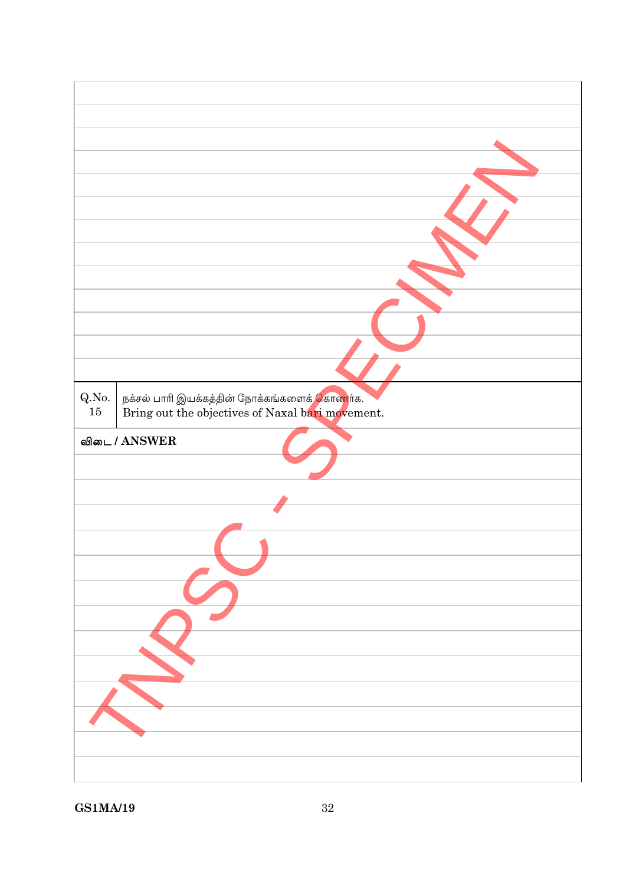| $\operatorname{Q.No.}$<br>நக்சல் பாரி இயக்கத்தின் நோக்கங்களைக <mark>் கொண</mark> ர்க.<br>Bring out the objectives of Naxal bari movement.<br>$15\,$ |
|-----------------------------------------------------------------------------------------------------------------------------------------------------|
| விடை / ANSWER                                                                                                                                       |
|                                                                                                                                                     |
|                                                                                                                                                     |
|                                                                                                                                                     |
|                                                                                                                                                     |
|                                                                                                                                                     |
|                                                                                                                                                     |
|                                                                                                                                                     |
|                                                                                                                                                     |
|                                                                                                                                                     |
|                                                                                                                                                     |
|                                                                                                                                                     |
|                                                                                                                                                     |
|                                                                                                                                                     |
|                                                                                                                                                     |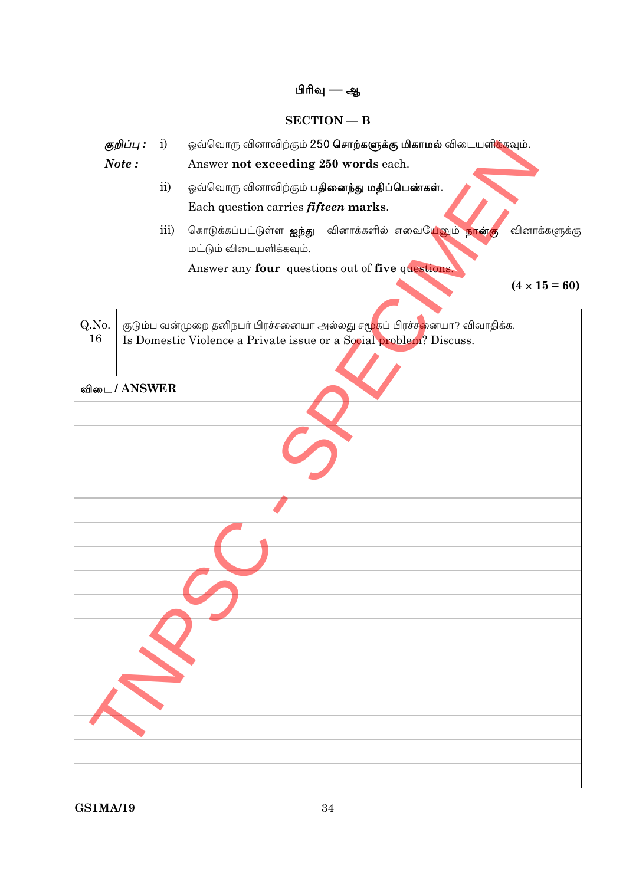#### பிரிவு — ஆ

#### $SECTION - B$

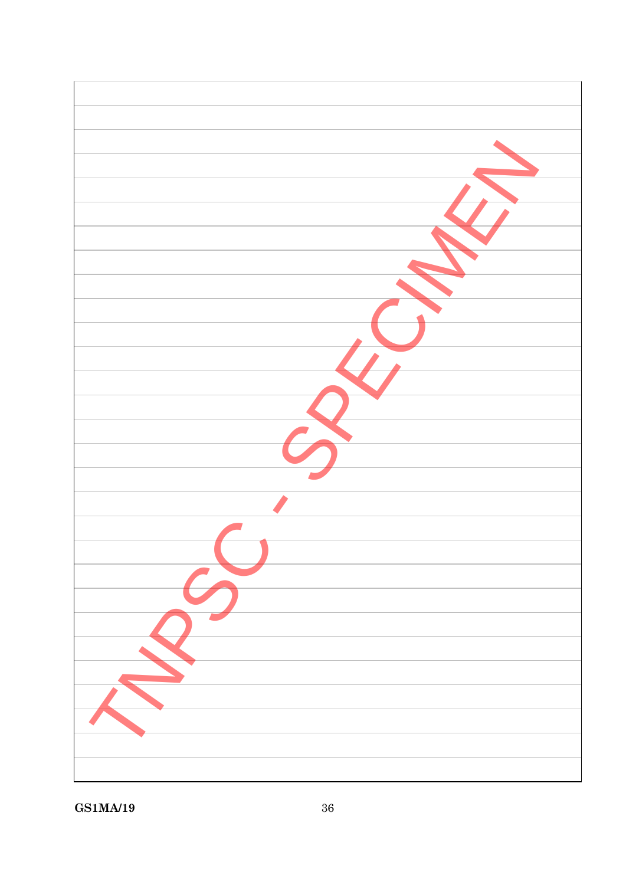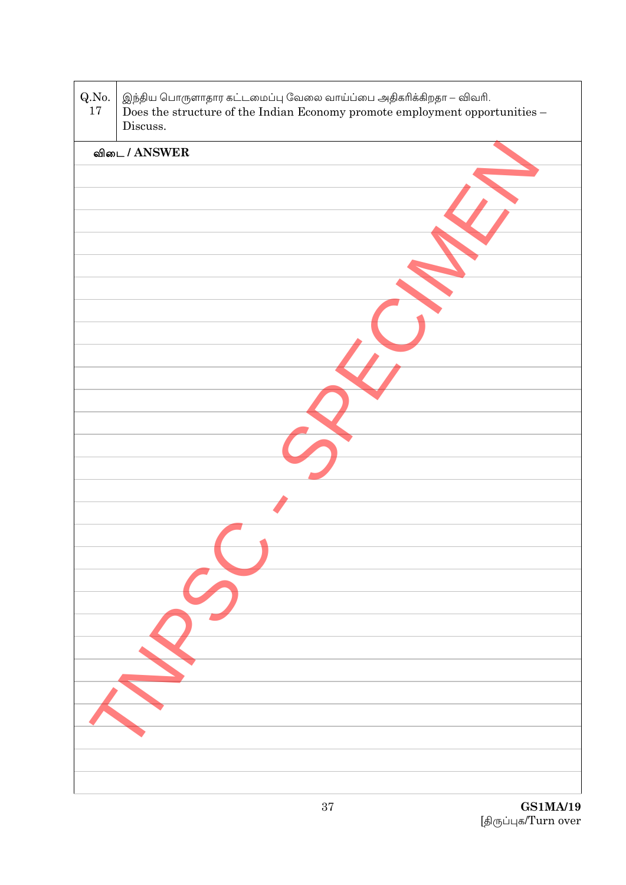| $\operatorname{Q.No.}$<br>$17\,$ | இந்திய பொருளாதார கட்டமைப்பு வேலை வாய்ப்பை அதிகரிக்கிறதா – விவரி.<br>Does the structure of the Indian Economy promote employment opportunities -<br>Discuss. |  |
|----------------------------------|-------------------------------------------------------------------------------------------------------------------------------------------------------------|--|
|                                  | விடை / ANSWER                                                                                                                                               |  |
|                                  |                                                                                                                                                             |  |
|                                  |                                                                                                                                                             |  |
|                                  |                                                                                                                                                             |  |
|                                  |                                                                                                                                                             |  |
|                                  |                                                                                                                                                             |  |
|                                  |                                                                                                                                                             |  |
|                                  |                                                                                                                                                             |  |
|                                  |                                                                                                                                                             |  |
|                                  |                                                                                                                                                             |  |
|                                  |                                                                                                                                                             |  |
|                                  |                                                                                                                                                             |  |
|                                  |                                                                                                                                                             |  |
|                                  |                                                                                                                                                             |  |
|                                  |                                                                                                                                                             |  |
|                                  |                                                                                                                                                             |  |
|                                  |                                                                                                                                                             |  |
|                                  |                                                                                                                                                             |  |
|                                  |                                                                                                                                                             |  |
|                                  |                                                                                                                                                             |  |
|                                  |                                                                                                                                                             |  |
|                                  |                                                                                                                                                             |  |
|                                  |                                                                                                                                                             |  |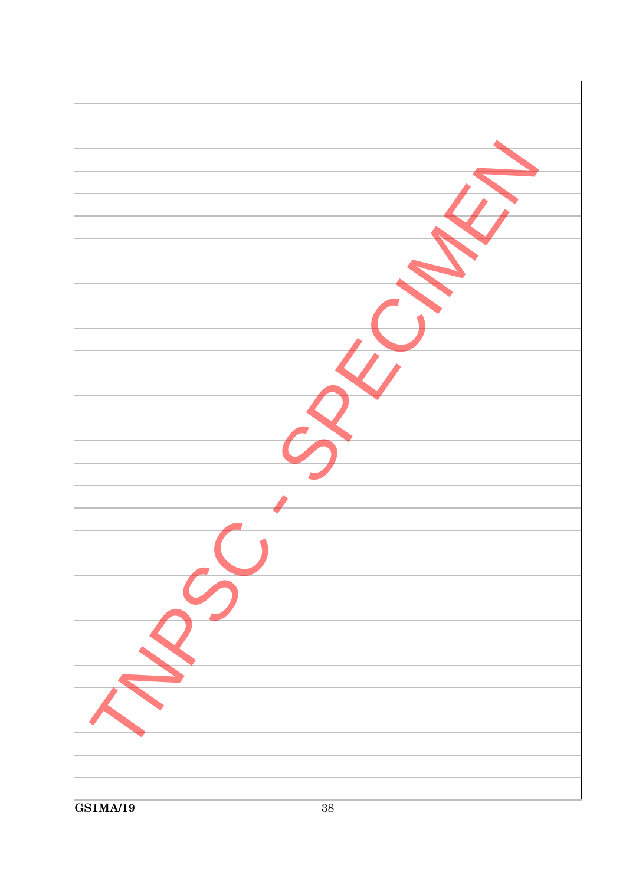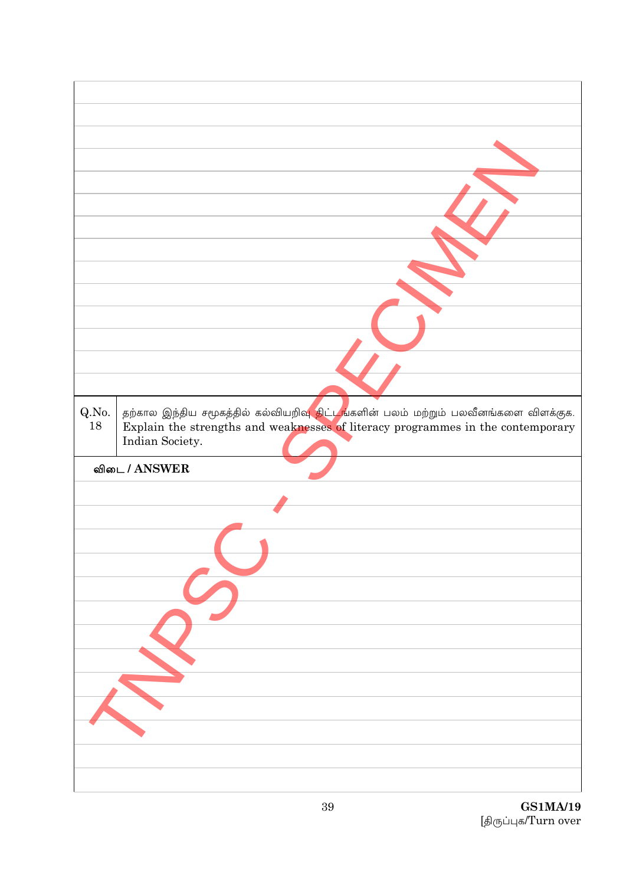| Q.No.<br>தற்கால இந்திய சமூகத்தில் கல்வியறிவ <mark>ு திட்டங்</mark> களின் பலம் மற்றும் பலவீனங்களை விளக்குக. |
|------------------------------------------------------------------------------------------------------------|
| 18<br>Explain the strengths and weaknesses of literacy programmes in the contemporary<br>Indian Society.   |
|                                                                                                            |
| விடை / ANSWER                                                                                              |
|                                                                                                            |
|                                                                                                            |
|                                                                                                            |
|                                                                                                            |
|                                                                                                            |
|                                                                                                            |
|                                                                                                            |
|                                                                                                            |
|                                                                                                            |
|                                                                                                            |
|                                                                                                            |
|                                                                                                            |
|                                                                                                            |
|                                                                                                            |
|                                                                                                            |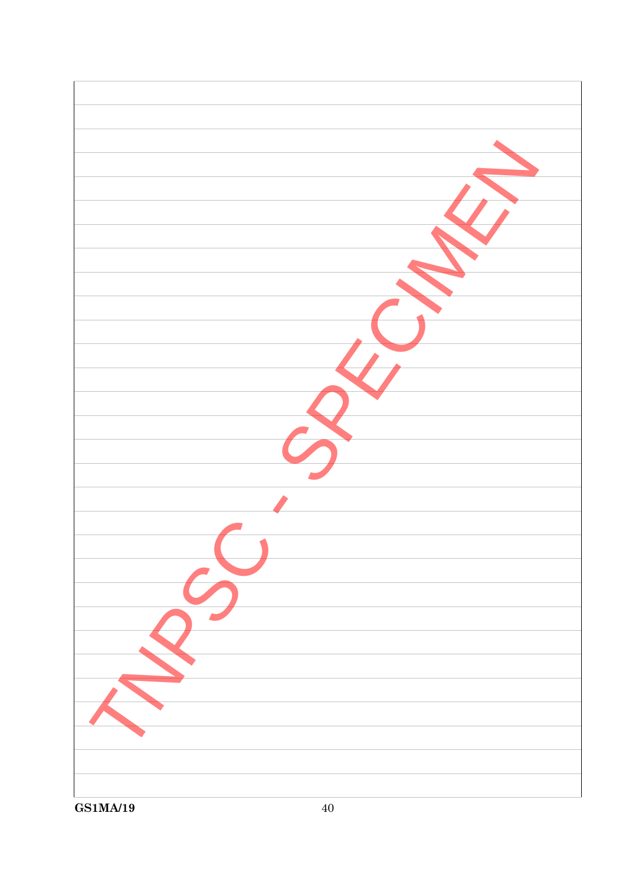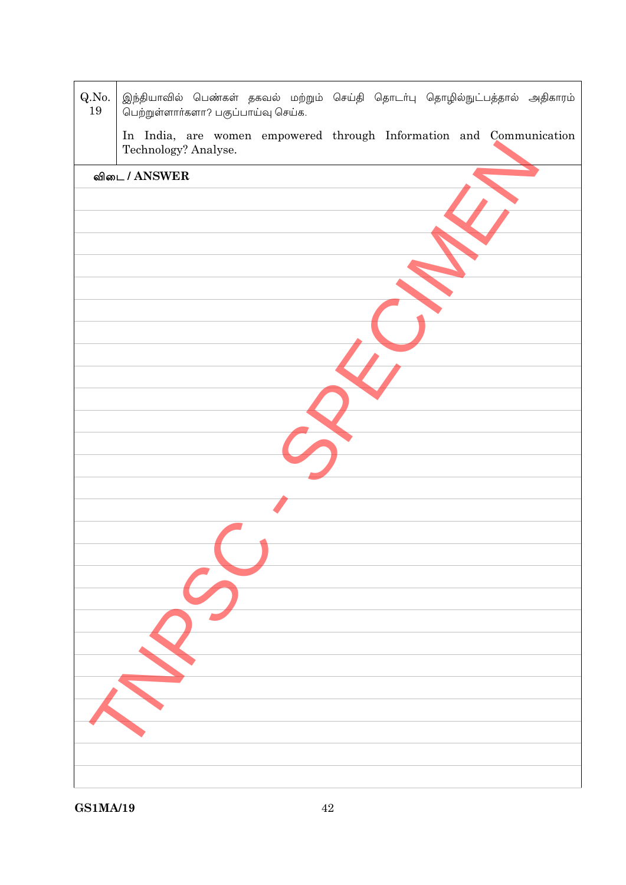| Q.No.<br>19 | இந்தியாவில் பெண்கள் தகவல் மற்றும் செய்தி தொடர்பு தொழில்நுட்பத்தால் அதிகாரம்<br>பெற்றுள்ளார்களா? பகுப்பாய்வு செய்க. |
|-------------|--------------------------------------------------------------------------------------------------------------------|
|             | In India, are women empowered through Information and Communication<br>Technology? Analyse.                        |
|             | விடை / ANSWER                                                                                                      |
|             |                                                                                                                    |
|             |                                                                                                                    |
|             |                                                                                                                    |
|             |                                                                                                                    |
|             |                                                                                                                    |
|             |                                                                                                                    |
|             |                                                                                                                    |
|             |                                                                                                                    |
|             |                                                                                                                    |
|             |                                                                                                                    |
|             |                                                                                                                    |
|             |                                                                                                                    |
|             |                                                                                                                    |
|             |                                                                                                                    |
|             |                                                                                                                    |
|             |                                                                                                                    |
|             |                                                                                                                    |
|             |                                                                                                                    |
|             |                                                                                                                    |
|             |                                                                                                                    |
|             |                                                                                                                    |
|             |                                                                                                                    |
|             |                                                                                                                    |
|             |                                                                                                                    |
|             |                                                                                                                    |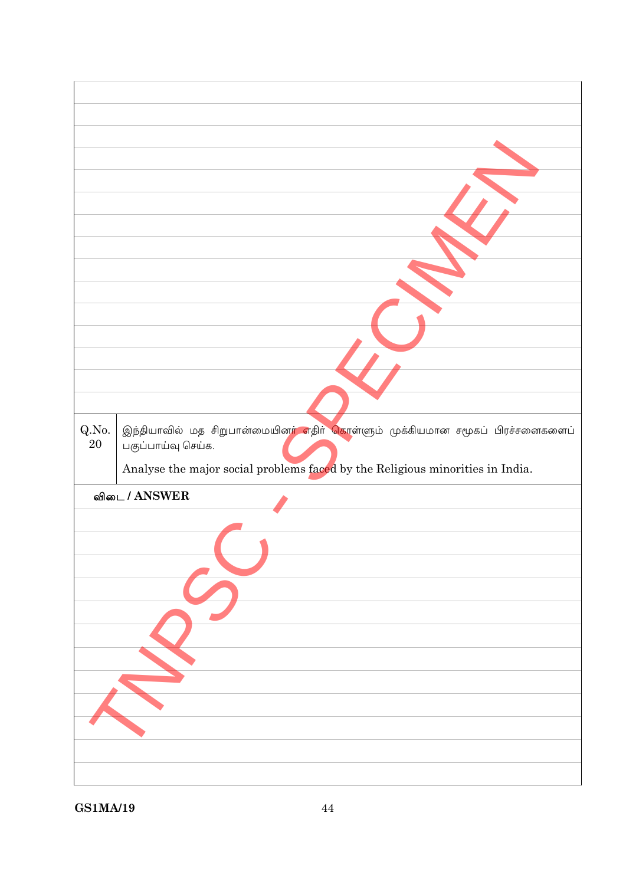| Q.No.<br>20 | இந்தியாவில் மத சிறுபான்மையின <mark>ர் எ</mark> திா் கொள்ளும் முக்கியமான சமூகப் பிரச்சனைகளைப்<br>பகுப்பாய்வு செய்க. |
|-------------|--------------------------------------------------------------------------------------------------------------------|
|             |                                                                                                                    |
|             | Analyse the major social problems faced by the Religious minorities in India.                                      |
|             | விடை / ANSWER                                                                                                      |
|             |                                                                                                                    |
|             |                                                                                                                    |
|             |                                                                                                                    |
|             |                                                                                                                    |
|             |                                                                                                                    |
|             |                                                                                                                    |
|             |                                                                                                                    |
|             |                                                                                                                    |
|             |                                                                                                                    |
|             |                                                                                                                    |
|             |                                                                                                                    |
|             |                                                                                                                    |
|             |                                                                                                                    |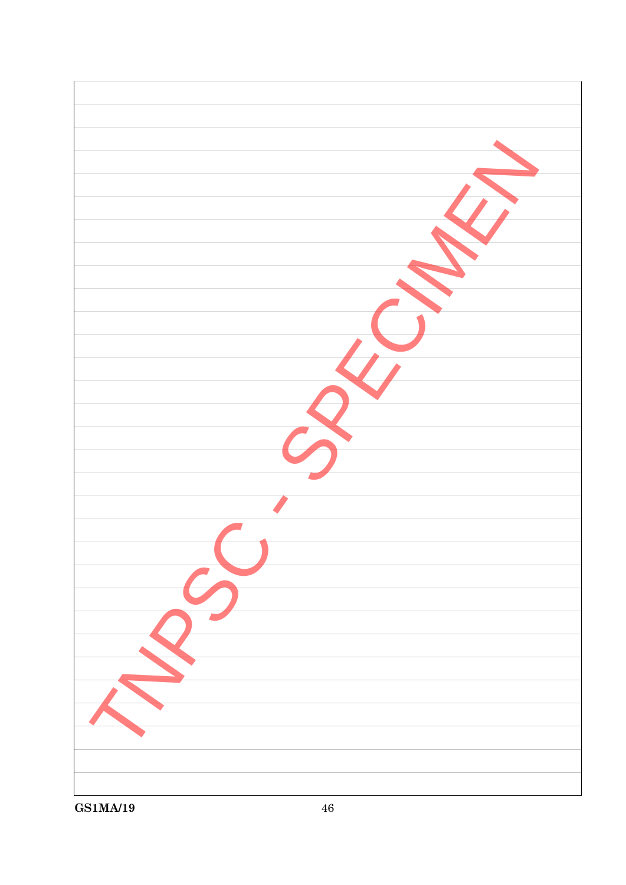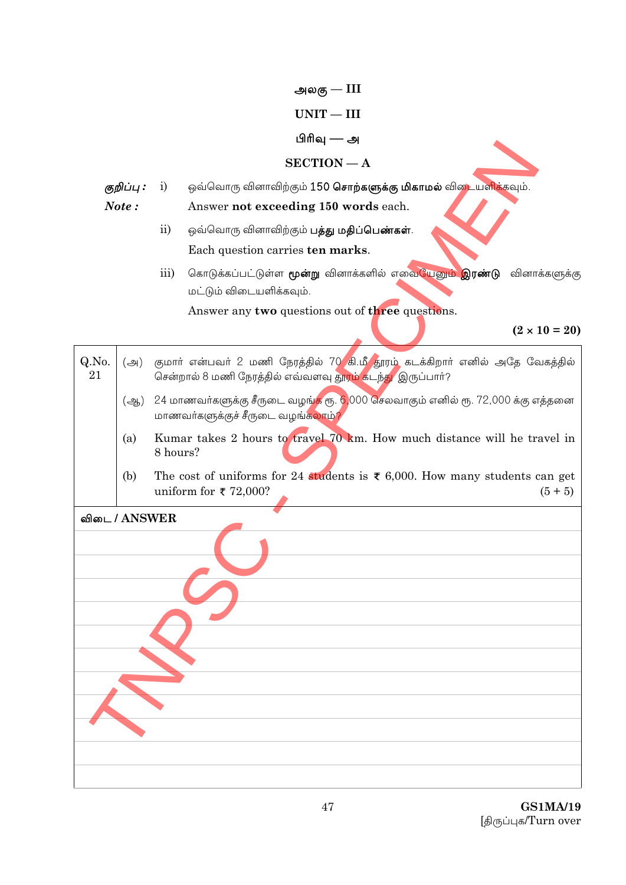அலகு —  $III$ 

#### $UNIT - III$

### பிரிவு — அ

#### $SECTION - A$

ஒவ்வொரு வினாவிற்கும் 150 **சொற்களுக்கு மிகாமல்** வி**டையளிக்க**வும். குறிப்பு :  $i)$ 

#### Note: Answer not exceeding 150 words each.

- ஒவ்வொரு வினாவிற்கும் **பத்து மதிப்பெண்கள்**.  $\overline{ii}$ Each question carries ten marks.
- $iii)$ கொடுக்கப்பட்டுள்ள **மூன்று** வினாக்களில் எவ<mark>ையேனும் இரண்டு</mark> வினாக்களுக்கு மட்டும் விடையளிக்கவும்.

Answer any two questions out of three questions.

 $(2 \times 10 = 20)$ 

| Q.No.<br>21   | $(\bigoplus)$     | குமார் என்பவர் 2 மணி நேரத்தில் 70 கி.மீ தூரம் கடக்கிறார் எனில் அதே வேகத்தில்<br>சென்றால் 8 மணி நேரத்தில் எவ்வளவு தூரம் கடந்து இருப்பார்?     |  |  |  |  |
|---------------|-------------------|----------------------------------------------------------------------------------------------------------------------------------------------|--|--|--|--|
|               | $(\triangleleft)$ | 24 மாணவர்களுக்கு சீருடை வழங்க ரூ. 6,000 செலவாகும் எனில் ரூ. 72,000 க்கு எத்தனை<br>மாணவா்களுக்குச் சீருடை வழங்க <mark>லாம்?</mark>            |  |  |  |  |
|               | (a)               | Kumar takes 2 hours to travel 70 km. How much distance will be travel in<br>8 hours?                                                         |  |  |  |  |
|               | (b)               | The cost of uniforms for 24 students is $\bar{x}$ 6,000. How many students can get<br>uniform for $\overline{\epsilon}$ 72,000?<br>$(5 + 5)$ |  |  |  |  |
| விடை / ANSWER |                   |                                                                                                                                              |  |  |  |  |
|               |                   |                                                                                                                                              |  |  |  |  |
|               |                   |                                                                                                                                              |  |  |  |  |
|               |                   |                                                                                                                                              |  |  |  |  |
|               |                   |                                                                                                                                              |  |  |  |  |
|               |                   |                                                                                                                                              |  |  |  |  |
|               |                   |                                                                                                                                              |  |  |  |  |
|               |                   |                                                                                                                                              |  |  |  |  |
|               |                   |                                                                                                                                              |  |  |  |  |
|               |                   |                                                                                                                                              |  |  |  |  |
|               |                   |                                                                                                                                              |  |  |  |  |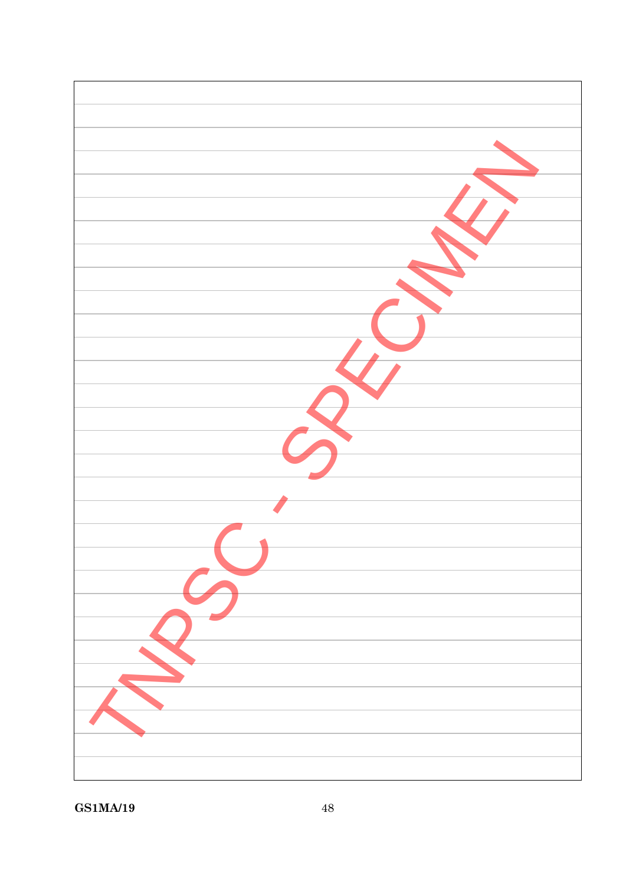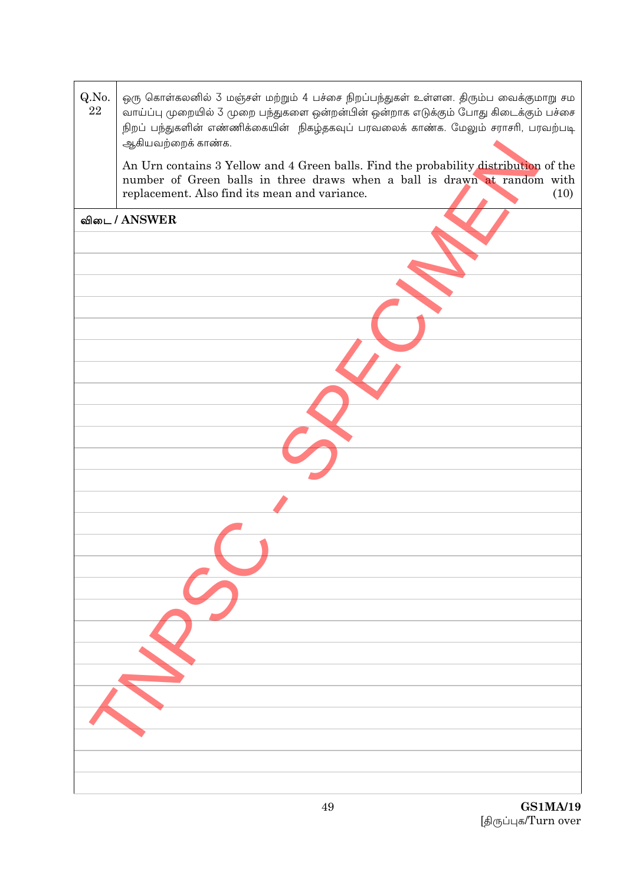| Q.No.<br>22 | ஒரு கொள்கலனில் 3 மஞ்சள் மற்றும் 4 பச்சை நிறப்பந்துகள் உள்ளன. திரும்ப வைக்குமாறு சம<br>வாய்ப்பு முறையில் 3 முறை பந்துகளை ஒன்றன்பின் ஒன்றாக எடுக்கும் போது கிடைக்கும் பச்சை<br>நிறப் பந்துகளின் எண்ணிக்கையின் நிகழ்தகவுப் பரவலைக் காண்க. மேலும் சராசரி, பரவற்படி<br>ஆகியவற்றைக் காண்க.<br>An Urn contains 3 Yellow and 4 Green balls. Find the probability distribution of the |  |  |  |  |
|-------------|------------------------------------------------------------------------------------------------------------------------------------------------------------------------------------------------------------------------------------------------------------------------------------------------------------------------------------------------------------------------------|--|--|--|--|
|             | number of Green balls in three draws when a ball is drawn at random with<br>replacement. Also find its mean and variance.<br>(10)                                                                                                                                                                                                                                            |  |  |  |  |
|             | விடை / ANSWER                                                                                                                                                                                                                                                                                                                                                                |  |  |  |  |
|             |                                                                                                                                                                                                                                                                                                                                                                              |  |  |  |  |
|             |                                                                                                                                                                                                                                                                                                                                                                              |  |  |  |  |
|             |                                                                                                                                                                                                                                                                                                                                                                              |  |  |  |  |
|             |                                                                                                                                                                                                                                                                                                                                                                              |  |  |  |  |
|             |                                                                                                                                                                                                                                                                                                                                                                              |  |  |  |  |
|             |                                                                                                                                                                                                                                                                                                                                                                              |  |  |  |  |
|             |                                                                                                                                                                                                                                                                                                                                                                              |  |  |  |  |
|             |                                                                                                                                                                                                                                                                                                                                                                              |  |  |  |  |
|             |                                                                                                                                                                                                                                                                                                                                                                              |  |  |  |  |
|             |                                                                                                                                                                                                                                                                                                                                                                              |  |  |  |  |
|             |                                                                                                                                                                                                                                                                                                                                                                              |  |  |  |  |
|             |                                                                                                                                                                                                                                                                                                                                                                              |  |  |  |  |
|             |                                                                                                                                                                                                                                                                                                                                                                              |  |  |  |  |
|             |                                                                                                                                                                                                                                                                                                                                                                              |  |  |  |  |
|             |                                                                                                                                                                                                                                                                                                                                                                              |  |  |  |  |
|             |                                                                                                                                                                                                                                                                                                                                                                              |  |  |  |  |
|             |                                                                                                                                                                                                                                                                                                                                                                              |  |  |  |  |
|             |                                                                                                                                                                                                                                                                                                                                                                              |  |  |  |  |
|             |                                                                                                                                                                                                                                                                                                                                                                              |  |  |  |  |
|             |                                                                                                                                                                                                                                                                                                                                                                              |  |  |  |  |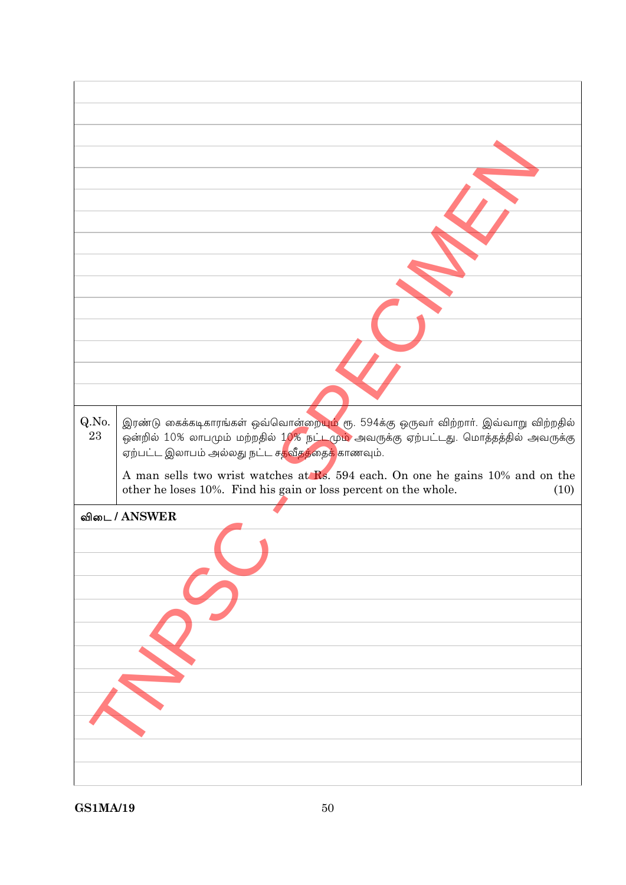| Q.No.<br>இரண்டு கைக்கடிகாரங்கள் ஒவ்வொன்ற <mark>ையும்</mark> ரூ. 594க்கு ஒருவா் விற்றாா். இவ்வாறு விற்றதில்<br>23                                    |      |  |
|-----------------------------------------------------------------------------------------------------------------------------------------------------|------|--|
| ஒன்றில் 10% லாபமும் மற்றதில் 10% நட்டமும் அவருக்கு ஏற்பட்டது. மொத்தத்தில் அவருக்கு<br>ஏற்பட்ட இலாபம் அல்லது நட்ட ச <mark>தவீதத்தைக்</mark> காணவும். |      |  |
| A man sells two wrist watches at Rs. 594 each. On one he gains 10% and on the                                                                       |      |  |
| other he loses 10%. Find his gain or loss percent on the whole.                                                                                     | (10) |  |
| விடை / ANSWER                                                                                                                                       |      |  |
|                                                                                                                                                     |      |  |
|                                                                                                                                                     |      |  |
|                                                                                                                                                     |      |  |
|                                                                                                                                                     |      |  |
|                                                                                                                                                     |      |  |
|                                                                                                                                                     |      |  |
|                                                                                                                                                     |      |  |
|                                                                                                                                                     |      |  |
|                                                                                                                                                     |      |  |
|                                                                                                                                                     |      |  |
|                                                                                                                                                     |      |  |
|                                                                                                                                                     |      |  |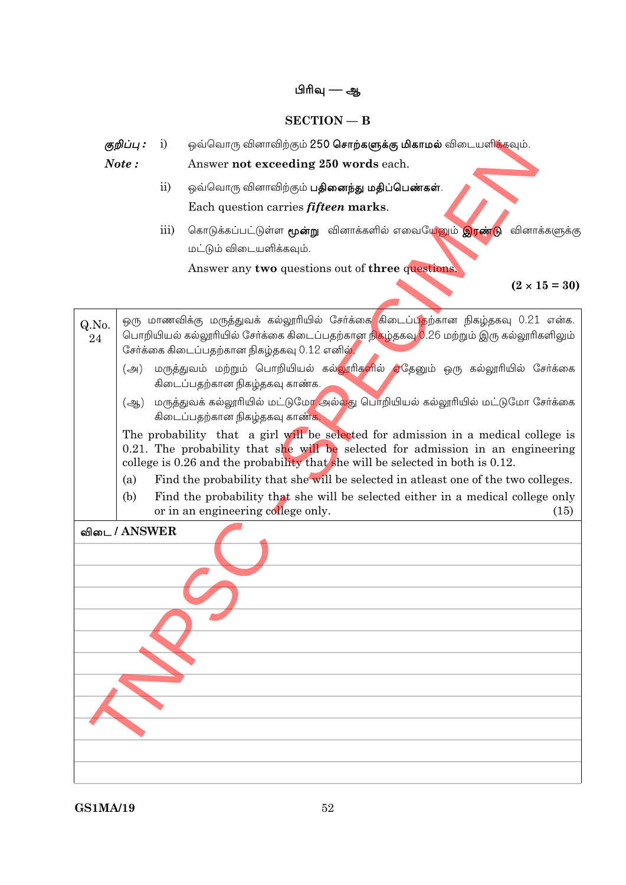#### ¤›Ä **—** B

#### **SECTION — B**

*குறிப்பு*  $\cdot$  i) ஒவ்வொரு வினாவிற்கும் 250 சொ<mark>ற்களுக்கு மிகாமல்</mark> விடையளி<mark>க்க</mark>வும்.

- ii) ஒவ்வொரு வினாவிற்கும் **பதினைந்து மதிப்பெண்கள்**. Each question carries *fifteen* **marks**.
- ்iii) கொடுக்கப்பட்டுள்ள **மூன்று** வினாக்களில் எவைபே<mark>லும் இரண்டு</mark> வினாக்களுக்கு மட்டும் விடையளிக்கவும்.

| குறிப்பு :<br>Note: |                   | i)        | ஒவ்வொரு வினாவிற்கும் 250 <b>சொற்களுக்கு மிகாமல்</b> விடையளி <mark>க்க</mark> வும்.                                                                                                                                                                         |                      |
|---------------------|-------------------|-----------|------------------------------------------------------------------------------------------------------------------------------------------------------------------------------------------------------------------------------------------------------------|----------------------|
|                     |                   |           | Answer not exceeding 250 words each.                                                                                                                                                                                                                       |                      |
|                     |                   | $\rm ii)$ | ஒவ்வொரு வினாவிற்கும் <b>பதினைந்து மதிப்பெண்கள்</b> .                                                                                                                                                                                                       |                      |
|                     |                   |           | Each question carries <i>fifteen</i> marks.                                                                                                                                                                                                                |                      |
|                     |                   | iii)      | கொடுக்கப்பட்டுள்ள <b>மூன்று</b> வினாக்களில் எவையேனும் <mark>இரண்டு</mark> வினாக்களுக்கு                                                                                                                                                                    |                      |
|                     |                   |           | மட்டும் விடையளிக்கவும்.                                                                                                                                                                                                                                    |                      |
|                     |                   |           | Answer any two questions out of three questions.                                                                                                                                                                                                           |                      |
|                     |                   |           |                                                                                                                                                                                                                                                            | $(2 \times 15 = 30)$ |
| Q.No.<br>24         |                   |           | ஒரு மாணவிக்கு மருத்துவக் கல்லூரியில் சேர்க்க <mark>ை கிடைப்ப</mark> தற்கான நிகழ்தகவு 0.21 என்க.<br>பொறியியல் கல்லூரியில் சேர்க்கை கிடைப்பதற்கான நிகழ்தகவு 0.26 மற்றும் இரு கல்லூரிகளிலும்<br>சேர்க்கை கிடைப்பதற்கான நிகழ்தகவு 0.12 எனி <mark>ல்</mark> ,   |                      |
|                     | $(\bigoplus)$     |           | மருத்துவம் மற்றும் பொறியியல் கல் <mark>லூரிகளில் ஏ</mark> தேனும் ஒரு கல்லூரியில் சேர்க்கை<br>கிடைப்பதற்கான நிகழ்தகவு காண்க.                                                                                                                                |                      |
|                     | $(\triangleleft)$ |           | மருத்துவக் கல்லூரியில் மட்டும <mark>ோ அல்ல</mark> து பொறியியல் கல்லூரியில் மட்டுமோ சேர்க்கை<br>கிடைப்பதற்கான நிகழ்தகவு காண்க.                                                                                                                              |                      |
|                     |                   |           | The probability that a girl will be selected for admission in a medical college is<br>0.21. The probability that she will be selected for admission in an engineering<br>college is 0.26 and the probability that she will be selected in both is $0.12$ . |                      |
|                     | (a)               |           | Find the probability that she will be selected in at least one of the two colleges.                                                                                                                                                                        |                      |
|                     | (b)               |           | Find the probability that she will be selected either in a medical college only                                                                                                                                                                            |                      |
|                     |                   |           | or in an engineering college only.                                                                                                                                                                                                                         | (15)                 |
| விடை / ANSWER       |                   |           |                                                                                                                                                                                                                                                            |                      |
|                     |                   |           |                                                                                                                                                                                                                                                            |                      |
|                     |                   |           |                                                                                                                                                                                                                                                            |                      |
|                     |                   |           |                                                                                                                                                                                                                                                            |                      |
|                     |                   |           |                                                                                                                                                                                                                                                            |                      |
|                     |                   |           |                                                                                                                                                                                                                                                            |                      |
|                     |                   |           |                                                                                                                                                                                                                                                            |                      |
|                     |                   |           |                                                                                                                                                                                                                                                            |                      |
|                     |                   |           |                                                                                                                                                                                                                                                            |                      |
|                     |                   |           |                                                                                                                                                                                                                                                            |                      |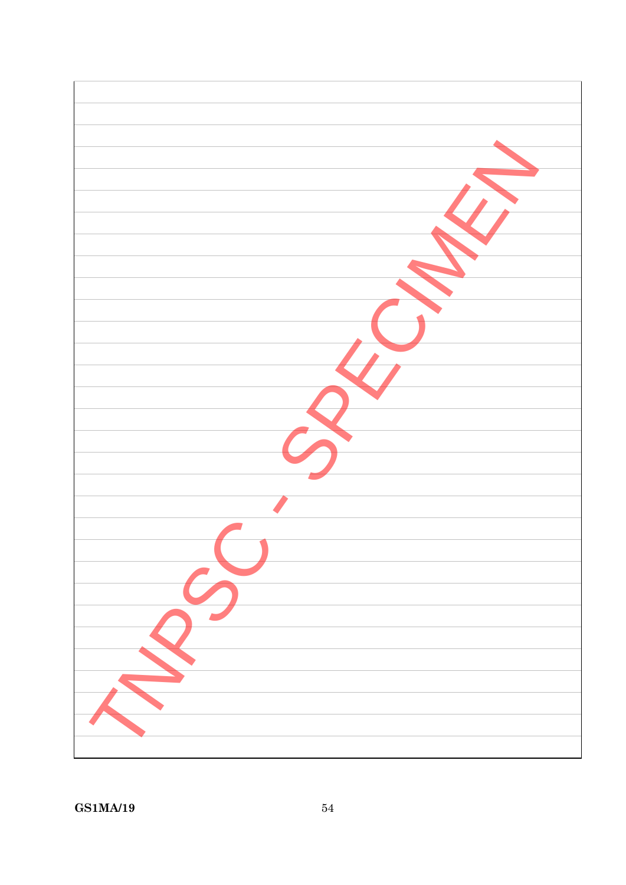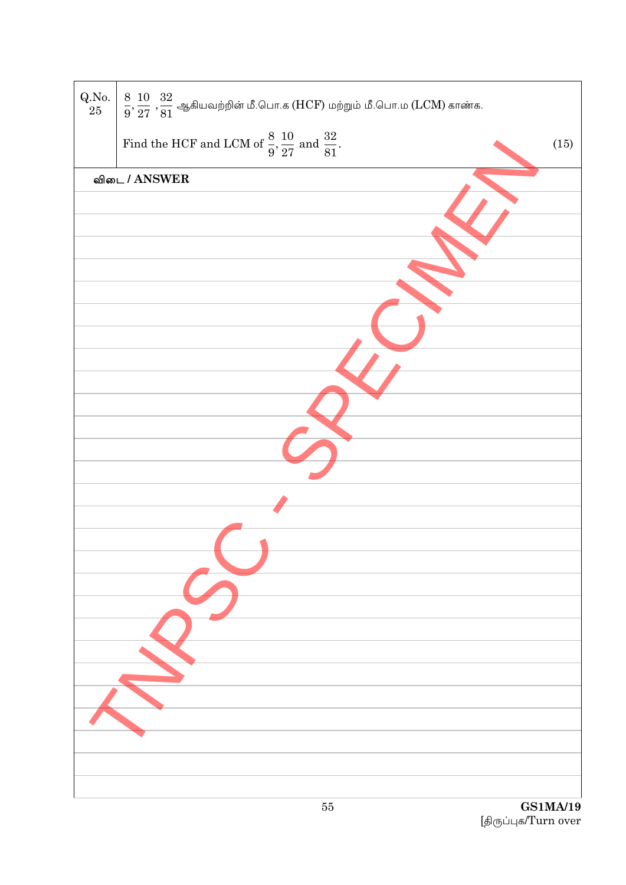| $\underset{25}{\text{Q.No.}}$ | $\frac{8}{9}, \frac{10}{27}, \frac{32}{81}$ ஆகியவற்றின் மீ.பொ.க (HCF) மற்றும் மீ.பொ.ம (LCM) காண்க. |      |  |
|-------------------------------|----------------------------------------------------------------------------------------------------|------|--|
|                               | Find the HCF and LCM of $\frac{8}{9}$ , $\frac{10}{27}$ and $\frac{32}{81}$ .                      | (15) |  |
|                               | விடை / ANSWER                                                                                      |      |  |
|                               |                                                                                                    |      |  |
|                               |                                                                                                    |      |  |
|                               |                                                                                                    |      |  |
|                               |                                                                                                    |      |  |
|                               |                                                                                                    |      |  |
|                               |                                                                                                    |      |  |
|                               |                                                                                                    |      |  |
|                               |                                                                                                    |      |  |
|                               |                                                                                                    |      |  |
|                               |                                                                                                    |      |  |
|                               |                                                                                                    |      |  |
|                               |                                                                                                    |      |  |
|                               |                                                                                                    |      |  |
|                               |                                                                                                    |      |  |
|                               |                                                                                                    |      |  |
|                               |                                                                                                    |      |  |
|                               |                                                                                                    |      |  |
|                               |                                                                                                    |      |  |
|                               |                                                                                                    |      |  |
|                               |                                                                                                    |      |  |
|                               |                                                                                                    |      |  |
|                               |                                                                                                    |      |  |
|                               |                                                                                                    |      |  |
|                               |                                                                                                    |      |  |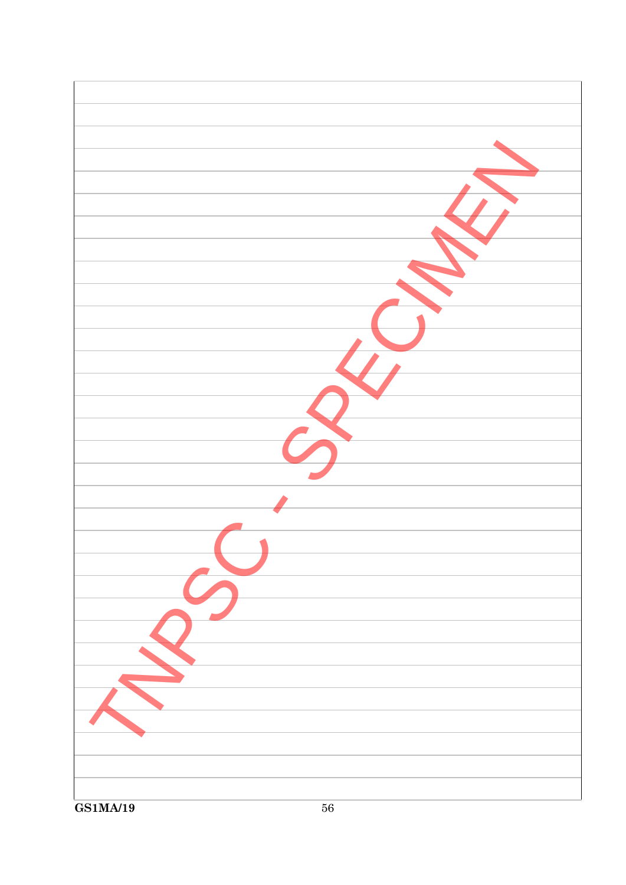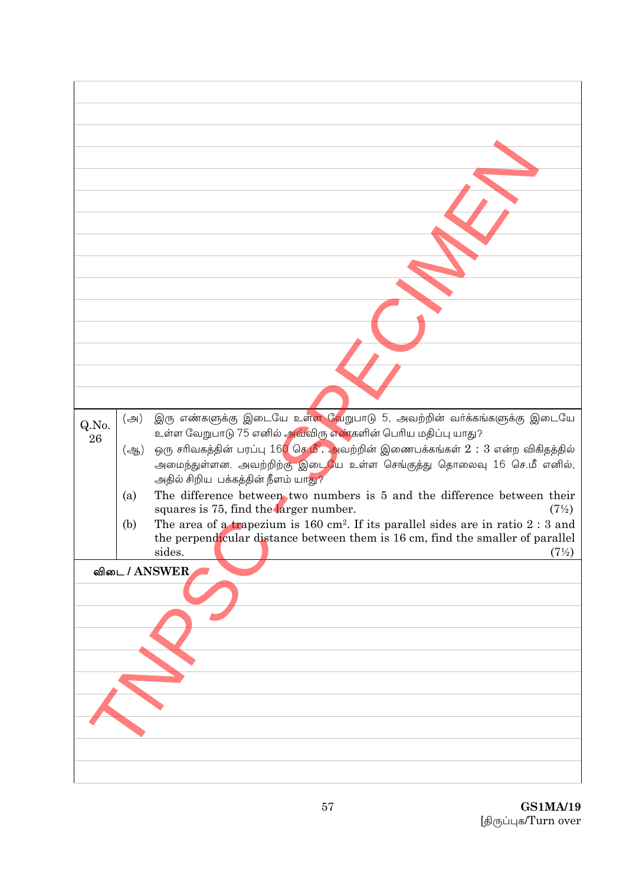| Q.No.<br>26 | $(\bigoplus)$ | இரு எண்களுக்கு இடையே உள்ள வேறுபாடு 5, அவற்றின் வா்க்கங்களுக்கு இடையே<br>உள்ள வேறுபாடு 75 எனில் அவ்விரு எண்களின் பெரிய மதிப்பு யாது?                                                                         |  |
|-------------|---------------|-------------------------------------------------------------------------------------------------------------------------------------------------------------------------------------------------------------|--|
|             | (ஆ)           | ஒரு சரிவகத்தின் பரப்பு 16 <mark>0 செ.மீ. அ</mark> வற்றின் இணைபக்கங்கள் $2:3$ என்ற விகிதத்தில்<br>அமைந்துள்ளன. அவற்றிற்கு இடையே உள்ள செங்குத்து தொலைவு 16 செ.மீ எனில்,<br>அதில் சிறிய பக்கத்தின் நீளம் யாது? |  |
|             | (a)           | The difference between two numbers is 5 and the difference between their<br>squares is 75, find the larger number.<br>$(7\%)$                                                                               |  |
|             | (b)           | The area of a trapezium is 160 cm <sup>2</sup> . If its parallel sides are in ratio $2:3$ and                                                                                                               |  |
|             |               | the perpendicular distance between them is 16 cm, find the smaller of parallel<br>sides.<br>$(7\%)$                                                                                                         |  |
|             |               | விடை / ANSWER                                                                                                                                                                                               |  |
|             |               |                                                                                                                                                                                                             |  |
|             |               |                                                                                                                                                                                                             |  |
|             |               |                                                                                                                                                                                                             |  |
|             |               |                                                                                                                                                                                                             |  |
|             |               |                                                                                                                                                                                                             |  |
|             |               |                                                                                                                                                                                                             |  |
|             |               |                                                                                                                                                                                                             |  |
|             |               |                                                                                                                                                                                                             |  |
|             |               |                                                                                                                                                                                                             |  |
|             |               |                                                                                                                                                                                                             |  |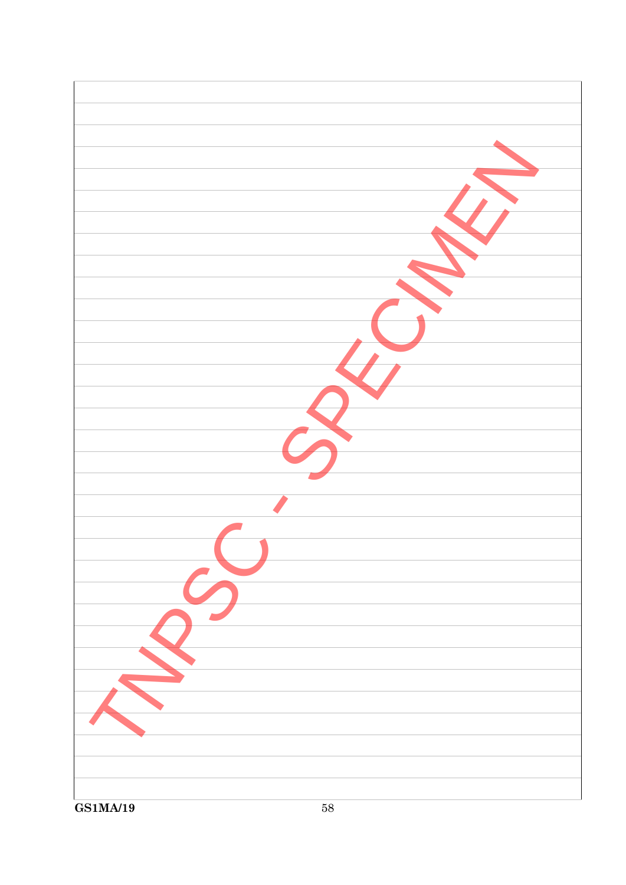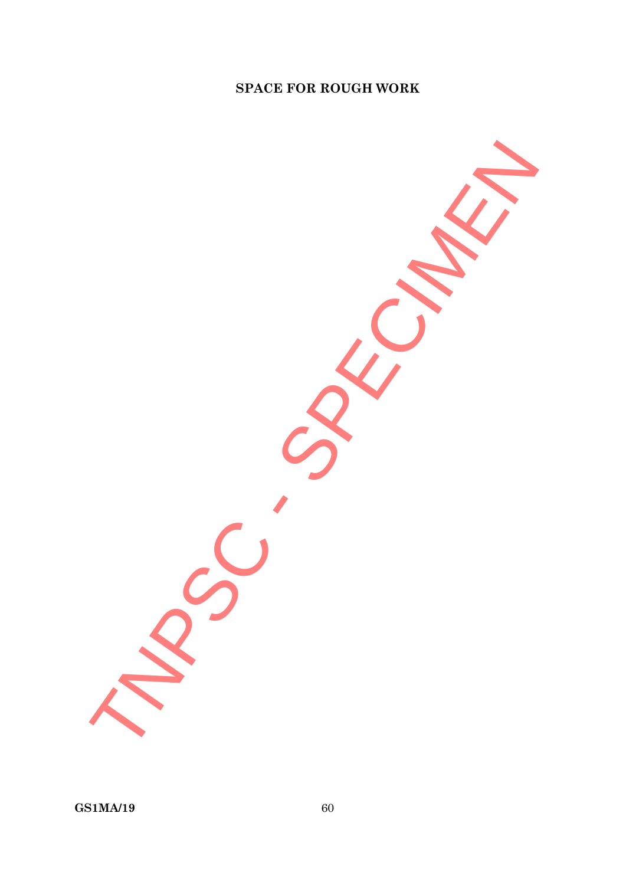TNPSC - SPECIMENT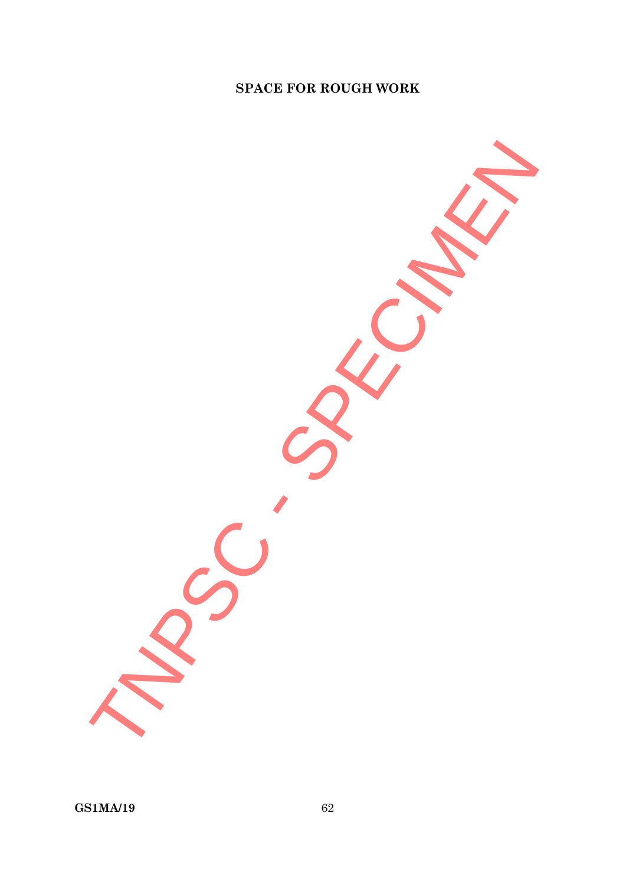TNPSC - SPECIMENT